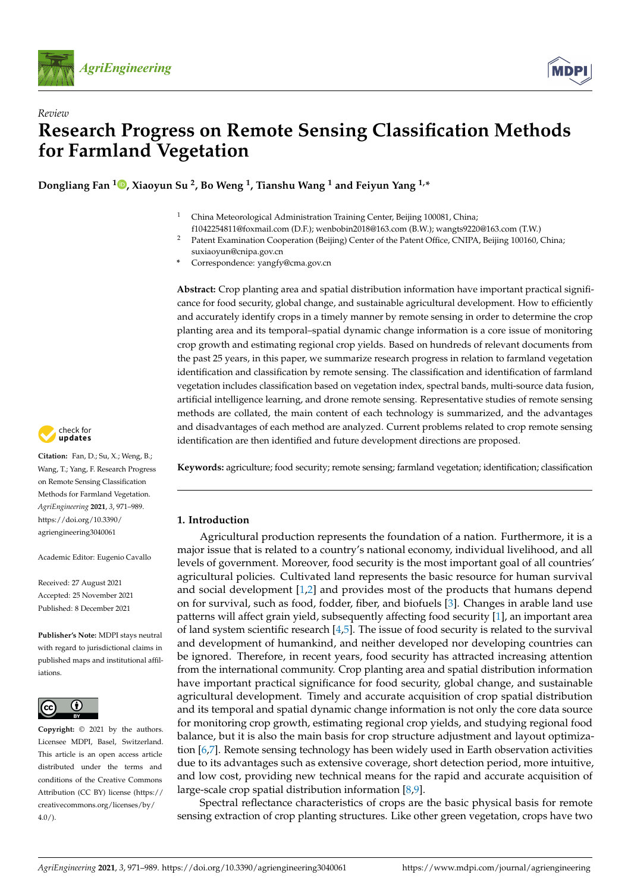

*Review*



# **Research Progress on Remote Sensing Classification Methods for Farmland Vegetation**

**Dongliang Fan <sup>1</sup> [,](https://orcid.org/0000-0003-1213-5845) Xiaoyun Su <sup>2</sup> , Bo Weng <sup>1</sup> , Tianshu Wang <sup>1</sup> and Feiyun Yang 1,\***

- <sup>1</sup> China Meteorological Administration Training Center, Beijing 100081, China; f1042254811@foxmail.com (D.F.); wenbobin2018@163.com (B.W.); wangts9220@163.com (T.W.)
- <sup>2</sup> Patent Examination Cooperation (Beijing) Center of the Patent Office, CNIPA, Beijing 100160, China; suxiaoyun@cnipa.gov.cn
- **\*** Correspondence: yangfy@cma.gov.cn

**Abstract:** Crop planting area and spatial distribution information have important practical significance for food security, global change, and sustainable agricultural development. How to efficiently and accurately identify crops in a timely manner by remote sensing in order to determine the crop planting area and its temporal–spatial dynamic change information is a core issue of monitoring crop growth and estimating regional crop yields. Based on hundreds of relevant documents from the past 25 years, in this paper, we summarize research progress in relation to farmland vegetation identification and classification by remote sensing. The classification and identification of farmland vegetation includes classification based on vegetation index, spectral bands, multi-source data fusion, artificial intelligence learning, and drone remote sensing. Representative studies of remote sensing methods are collated, the main content of each technology is summarized, and the advantages and disadvantages of each method are analyzed. Current problems related to crop remote sensing identification are then identified and future development directions are proposed.

**Keywords:** agriculture; food security; remote sensing; farmland vegetation; identification; classification

# **1. Introduction**

Agricultural production represents the foundation of a nation. Furthermore, it is a major issue that is related to a country's national economy, individual livelihood, and all levels of government. Moreover, food security is the most important goal of all countries' agricultural policies. Cultivated land represents the basic resource for human survival and social development [\[1](#page-13-0)[,2\]](#page-13-1) and provides most of the products that humans depend on for survival, such as food, fodder, fiber, and biofuels [\[3\]](#page-13-2). Changes in arable land use patterns will affect grain yield, subsequently affecting food security [\[1\]](#page-13-0), an important area of land system scientific research  $[4,5]$  $[4,5]$ . The issue of food security is related to the survival and development of humankind, and neither developed nor developing countries can be ignored. Therefore, in recent years, food security has attracted increasing attention from the international community. Crop planting area and spatial distribution information have important practical significance for food security, global change, and sustainable agricultural development. Timely and accurate acquisition of crop spatial distribution and its temporal and spatial dynamic change information is not only the core data source for monitoring crop growth, estimating regional crop yields, and studying regional food balance, but it is also the main basis for crop structure adjustment and layout optimization [\[6,](#page-13-5)[7\]](#page-13-6). Remote sensing technology has been widely used in Earth observation activities due to its advantages such as extensive coverage, short detection period, more intuitive, and low cost, providing new technical means for the rapid and accurate acquisition of large-scale crop spatial distribution information [\[8,](#page-13-7)[9\]](#page-13-8).

Spectral reflectance characteristics of crops are the basic physical basis for remote sensing extraction of crop planting structures. Like other green vegetation, crops have two



**Citation:** Fan, D.; Su, X.; Weng, B.; Wang, T.; Yang, F. Research Progress on Remote Sensing Classification Methods for Farmland Vegetation. *AgriEngineering* **2021**, *3*, 971–989. [https://doi.org/10.3390/](https://doi.org/10.3390/agriengineering3040061) [agriengineering3040061](https://doi.org/10.3390/agriengineering3040061)

Academic Editor: Eugenio Cavallo

Received: 27 August 2021 Accepted: 25 November 2021 Published: 8 December 2021

**Publisher's Note:** MDPI stays neutral with regard to jurisdictional claims in published maps and institutional affiliations.



**Copyright:** © 2021 by the authors. Licensee MDPI, Basel, Switzerland. This article is an open access article distributed under the terms and conditions of the Creative Commons Attribution (CC BY) license (https:/[/](https://creativecommons.org/licenses/by/4.0/) [creativecommons.org/licenses/by/](https://creativecommons.org/licenses/by/4.0/)  $4.0/$ ).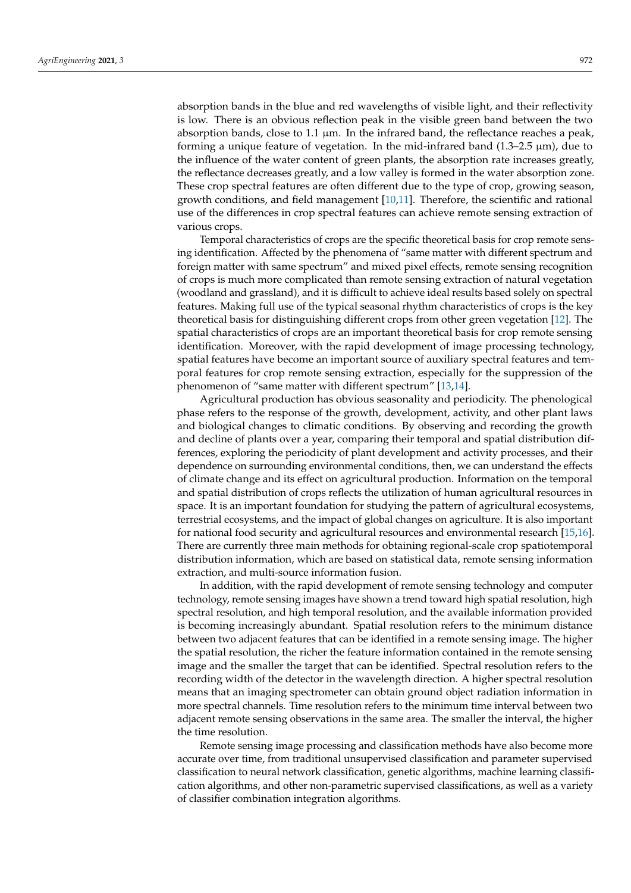absorption bands in the blue and red wavelengths of visible light, and their reflectivity is low. There is an obvious reflection peak in the visible green band between the two absorption bands, close to  $1.1 \mu m$ . In the infrared band, the reflectance reaches a peak, forming a unique feature of vegetation. In the mid-infrared band (1.3–2.5 µm), due to the influence of the water content of green plants, the absorption rate increases greatly, the reflectance decreases greatly, and a low valley is formed in the water absorption zone. These crop spectral features are often different due to the type of crop, growing season, growth conditions, and field management [\[10,](#page-13-9)[11\]](#page-14-0). Therefore, the scientific and rational use of the differences in crop spectral features can achieve remote sensing extraction of various crops.

Temporal characteristics of crops are the specific theoretical basis for crop remote sensing identification. Affected by the phenomena of "same matter with different spectrum and foreign matter with same spectrum" and mixed pixel effects, remote sensing recognition of crops is much more complicated than remote sensing extraction of natural vegetation (woodland and grassland), and it is difficult to achieve ideal results based solely on spectral features. Making full use of the typical seasonal rhythm characteristics of crops is the key theoretical basis for distinguishing different crops from other green vegetation [\[12\]](#page-14-1). The spatial characteristics of crops are an important theoretical basis for crop remote sensing identification. Moreover, with the rapid development of image processing technology, spatial features have become an important source of auxiliary spectral features and temporal features for crop remote sensing extraction, especially for the suppression of the phenomenon of "same matter with different spectrum" [\[13](#page-14-2)[,14\]](#page-14-3).

Agricultural production has obvious seasonality and periodicity. The phenological phase refers to the response of the growth, development, activity, and other plant laws and biological changes to climatic conditions. By observing and recording the growth and decline of plants over a year, comparing their temporal and spatial distribution differences, exploring the periodicity of plant development and activity processes, and their dependence on surrounding environmental conditions, then, we can understand the effects of climate change and its effect on agricultural production. Information on the temporal and spatial distribution of crops reflects the utilization of human agricultural resources in space. It is an important foundation for studying the pattern of agricultural ecosystems, terrestrial ecosystems, and the impact of global changes on agriculture. It is also important for national food security and agricultural resources and environmental research [\[15,](#page-14-4)[16\]](#page-14-5). There are currently three main methods for obtaining regional-scale crop spatiotemporal distribution information, which are based on statistical data, remote sensing information extraction, and multi-source information fusion.

In addition, with the rapid development of remote sensing technology and computer technology, remote sensing images have shown a trend toward high spatial resolution, high spectral resolution, and high temporal resolution, and the available information provided is becoming increasingly abundant. Spatial resolution refers to the minimum distance between two adjacent features that can be identified in a remote sensing image. The higher the spatial resolution, the richer the feature information contained in the remote sensing image and the smaller the target that can be identified. Spectral resolution refers to the recording width of the detector in the wavelength direction. A higher spectral resolution means that an imaging spectrometer can obtain ground object radiation information in more spectral channels. Time resolution refers to the minimum time interval between two adjacent remote sensing observations in the same area. The smaller the interval, the higher the time resolution.

Remote sensing image processing and classification methods have also become more accurate over time, from traditional unsupervised classification and parameter supervised classification to neural network classification, genetic algorithms, machine learning classification algorithms, and other non-parametric supervised classifications, as well as a variety of classifier combination integration algorithms.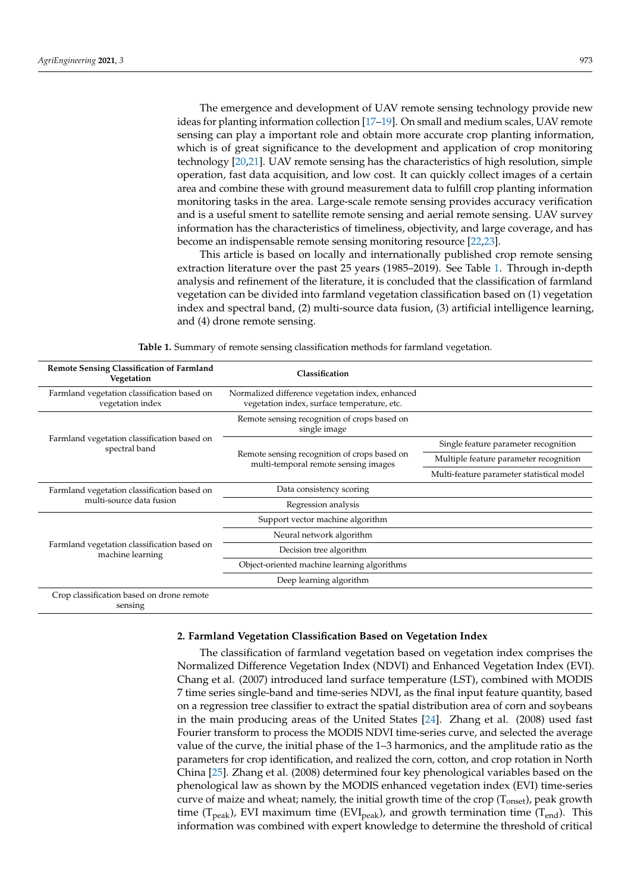The emergence and development of UAV remote sensing technology provide new ideas for planting information collection [\[17–](#page-14-6)[19\]](#page-14-7). On small and medium scales, UAV remote sensing can play a important role and obtain more accurate crop planting information, which is of great significance to the development and application of crop monitoring technology [\[20,](#page-14-8)[21\]](#page-14-9). UAV remote sensing has the characteristics of high resolution, simple operation, fast data acquisition, and low cost. It can quickly collect images of a certain area and combine these with ground measurement data to fulfill crop planting information monitoring tasks in the area. Large-scale remote sensing provides accuracy verification and is a useful sment to satellite remote sensing and aerial remote sensing. UAV survey information has the characteristics of timeliness, objectivity, and large coverage, and has become an indispensable remote sensing monitoring resource [\[22](#page-14-10)[,23\]](#page-14-11).

This article is based on locally and internationally published crop remote sensing extraction literature over the past 25 years (1985–2019). See Table [1.](#page-2-0) Through in-depth analysis and refinement of the literature, it is concluded that the classification of farmland vegetation can be divided into farmland vegetation classification based on (1) vegetation index and spectral band, (2) multi-source data fusion, (3) artificial intelligence learning, and (4) drone remote sensing.

<span id="page-2-0"></span>

| Remote Sensing Classification of Farmland<br>Vegetation                 | Classification                                                                                  |                                           |
|-------------------------------------------------------------------------|-------------------------------------------------------------------------------------------------|-------------------------------------------|
| Farmland vegetation classification based on<br>vegetation index         | Normalized difference vegetation index, enhanced<br>vegetation index, surface temperature, etc. |                                           |
| Farmland vegetation classification based on<br>spectral band            | Remote sensing recognition of crops based on<br>single image                                    |                                           |
|                                                                         |                                                                                                 | Single feature parameter recognition      |
|                                                                         | Remote sensing recognition of crops based on<br>multi-temporal remote sensing images            | Multiple feature parameter recognition    |
|                                                                         |                                                                                                 | Multi-feature parameter statistical model |
| Farmland vegetation classification based on<br>multi-source data fusion | Data consistency scoring                                                                        |                                           |
|                                                                         | Regression analysis                                                                             |                                           |
|                                                                         | Support vector machine algorithm                                                                |                                           |
|                                                                         | Neural network algorithm                                                                        |                                           |
| Farmland vegetation classification based on<br>machine learning         | Decision tree algorithm                                                                         |                                           |
|                                                                         | Object-oriented machine learning algorithms                                                     |                                           |
|                                                                         | Deep learning algorithm                                                                         |                                           |
| Crop classification based on drone remote<br>sensing                    |                                                                                                 |                                           |

**Table 1.** Summary of remote sensing classification methods for farmland vegetation.

## **2. Farmland Vegetation Classification Based on Vegetation Index**

The classification of farmland vegetation based on vegetation index comprises the Normalized Difference Vegetation Index (NDVI) and Enhanced Vegetation Index (EVI). Chang et al. (2007) introduced land surface temperature (LST), combined with MODIS 7 time series single-band and time-series NDVI, as the final input feature quantity, based on a regression tree classifier to extract the spatial distribution area of corn and soybeans in the main producing areas of the United States [\[24\]](#page-14-12). Zhang et al. (2008) used fast Fourier transform to process the MODIS NDVI time-series curve, and selected the average value of the curve, the initial phase of the 1–3 harmonics, and the amplitude ratio as the parameters for crop identification, and realized the corn, cotton, and crop rotation in North China [\[25\]](#page-14-13). Zhang et al. (2008) determined four key phenological variables based on the phenological law as shown by the MODIS enhanced vegetation index (EVI) time-series curve of maize and wheat; namely, the initial growth time of the crop  $(T_{onset})$ , peak growth time ( $T_{peak}$ ), EVI maximum time (EVI<sub>peak</sub>), and growth termination time ( $T_{end}$ ). This information was combined with expert knowledge to determine the threshold of critical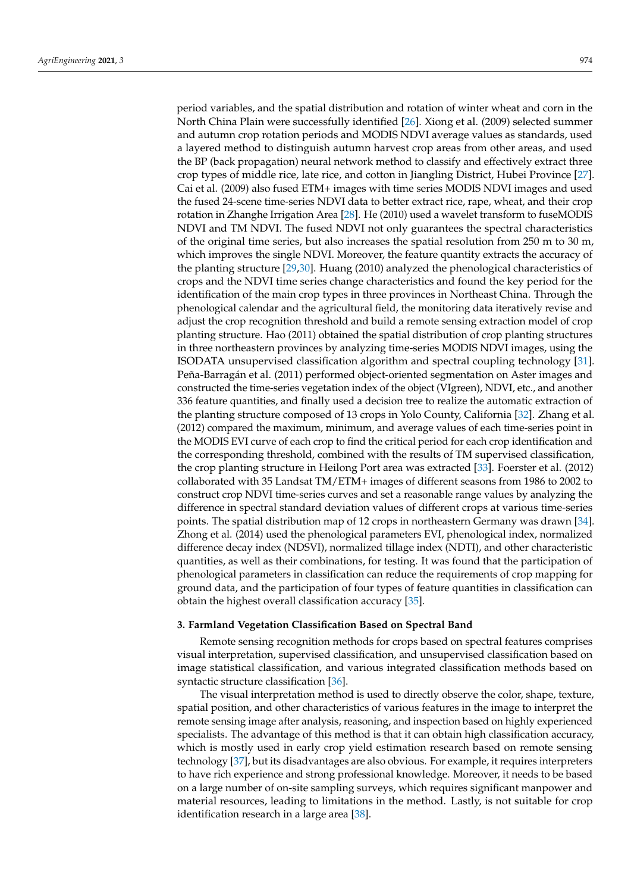period variables, and the spatial distribution and rotation of winter wheat and corn in the North China Plain were successfully identified [\[26\]](#page-14-14). Xiong et al. (2009) selected summer and autumn crop rotation periods and MODIS NDVI average values as standards, used a layered method to distinguish autumn harvest crop areas from other areas, and used the BP (back propagation) neural network method to classify and effectively extract three crop types of middle rice, late rice, and cotton in Jiangling District, Hubei Province [\[27\]](#page-14-15). Cai et al. (2009) also fused ETM+ images with time series MODIS NDVI images and used the fused 24-scene time-series NDVI data to better extract rice, rape, wheat, and their crop rotation in Zhanghe Irrigation Area [\[28\]](#page-14-16). He (2010) used a wavelet transform to fuseMODIS NDVI and TM NDVI. The fused NDVI not only guarantees the spectral characteristics of the original time series, but also increases the spatial resolution from 250 m to 30 m, which improves the single NDVI. Moreover, the feature quantity extracts the accuracy of the planting structure [\[29,](#page-14-17)[30\]](#page-14-18). Huang (2010) analyzed the phenological characteristics of crops and the NDVI time series change characteristics and found the key period for the identification of the main crop types in three provinces in Northeast China. Through the phenological calendar and the agricultural field, the monitoring data iteratively revise and adjust the crop recognition threshold and build a remote sensing extraction model of crop planting structure. Hao (2011) obtained the spatial distribution of crop planting structures in three northeastern provinces by analyzing time-series MODIS NDVI images, using the ISODATA unsupervised classification algorithm and spectral coupling technology [\[31\]](#page-14-19). Peña-Barragán et al. (2011) performed object-oriented segmentation on Aster images and constructed the time-series vegetation index of the object (VIgreen), NDVI, etc., and another 336 feature quantities, and finally used a decision tree to realize the automatic extraction of the planting structure composed of 13 crops in Yolo County, California [\[32\]](#page-14-20). Zhang et al. (2012) compared the maximum, minimum, and average values of each time-series point in the MODIS EVI curve of each crop to find the critical period for each crop identification and the corresponding threshold, combined with the results of TM supervised classification, the crop planting structure in Heilong Port area was extracted [\[33\]](#page-14-21). Foerster et al. (2012) collaborated with 35 Landsat TM/ETM+ images of different seasons from 1986 to 2002 to construct crop NDVI time-series curves and set a reasonable range values by analyzing the difference in spectral standard deviation values of different crops at various time-series points. The spatial distribution map of 12 crops in northeastern Germany was drawn [\[34\]](#page-14-22). Zhong et al. (2014) used the phenological parameters EVI, phenological index, normalized difference decay index (NDSVI), normalized tillage index (NDTI), and other characteristic quantities, as well as their combinations, for testing. It was found that the participation of phenological parameters in classification can reduce the requirements of crop mapping for ground data, and the participation of four types of feature quantities in classification can obtain the highest overall classification accuracy [\[35\]](#page-14-23).

#### **3. Farmland Vegetation Classification Based on Spectral Band**

Remote sensing recognition methods for crops based on spectral features comprises visual interpretation, supervised classification, and unsupervised classification based on image statistical classification, and various integrated classification methods based on syntactic structure classification [\[36\]](#page-14-24).

The visual interpretation method is used to directly observe the color, shape, texture, spatial position, and other characteristics of various features in the image to interpret the remote sensing image after analysis, reasoning, and inspection based on highly experienced specialists. The advantage of this method is that it can obtain high classification accuracy, which is mostly used in early crop yield estimation research based on remote sensing technology [\[37\]](#page-14-25), but its disadvantages are also obvious. For example, it requires interpreters to have rich experience and strong professional knowledge. Moreover, it needs to be based on a large number of on-site sampling surveys, which requires significant manpower and material resources, leading to limitations in the method. Lastly, is not suitable for crop identification research in a large area [\[38\]](#page-14-26).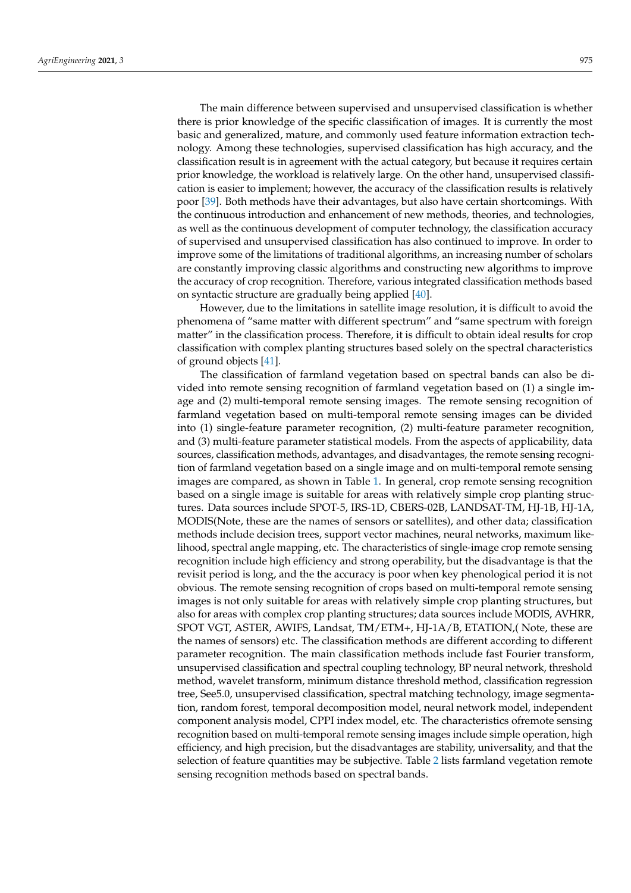The main difference between supervised and unsupervised classification is whether there is prior knowledge of the specific classification of images. It is currently the most basic and generalized, mature, and commonly used feature information extraction technology. Among these technologies, supervised classification has high accuracy, and the classification result is in agreement with the actual category, but because it requires certain prior knowledge, the workload is relatively large. On the other hand, unsupervised classification is easier to implement; however, the accuracy of the classification results is relatively poor [\[39\]](#page-15-0). Both methods have their advantages, but also have certain shortcomings. With the continuous introduction and enhancement of new methods, theories, and technologies, as well as the continuous development of computer technology, the classification accuracy of supervised and unsupervised classification has also continued to improve. In order to improve some of the limitations of traditional algorithms, an increasing number of scholars are constantly improving classic algorithms and constructing new algorithms to improve the accuracy of crop recognition. Therefore, various integrated classification methods based on syntactic structure are gradually being applied [\[40\]](#page-15-1).

However, due to the limitations in satellite image resolution, it is difficult to avoid the phenomena of "same matter with different spectrum" and "same spectrum with foreign matter" in the classification process. Therefore, it is difficult to obtain ideal results for crop classification with complex planting structures based solely on the spectral characteristics of ground objects [\[41\]](#page-15-2).

The classification of farmland vegetation based on spectral bands can also be divided into remote sensing recognition of farmland vegetation based on (1) a single image and (2) multi-temporal remote sensing images. The remote sensing recognition of farmland vegetation based on multi-temporal remote sensing images can be divided into (1) single-feature parameter recognition, (2) multi-feature parameter recognition, and (3) multi-feature parameter statistical models. From the aspects of applicability, data sources, classification methods, advantages, and disadvantages, the remote sensing recognition of farmland vegetation based on a single image and on multi-temporal remote sensing images are compared, as shown in Table [1.](#page-2-0) In general, crop remote sensing recognition based on a single image is suitable for areas with relatively simple crop planting structures. Data sources include SPOT-5, IRS-1D, CBERS-02B, LANDSAT-TM, HJ-1B, HJ-1A, MODIS(Note, these are the names of sensors or satellites), and other data; classification methods include decision trees, support vector machines, neural networks, maximum likelihood, spectral angle mapping, etc. The characteristics of single-image crop remote sensing recognition include high efficiency and strong operability, but the disadvantage is that the revisit period is long, and the the accuracy is poor when key phenological period it is not obvious. The remote sensing recognition of crops based on multi-temporal remote sensing images is not only suitable for areas with relatively simple crop planting structures, but also for areas with complex crop planting structures; data sources include MODIS, AVHRR, SPOT VGT, ASTER, AWIFS, Landsat, TM/ETM+, HJ-1A/B, ETATION,( Note, these are the names of sensors) etc. The classification methods are different according to different parameter recognition. The main classification methods include fast Fourier transform, unsupervised classification and spectral coupling technology, BP neural network, threshold method, wavelet transform, minimum distance threshold method, classification regression tree, See5.0, unsupervised classification, spectral matching technology, image segmentation, random forest, temporal decomposition model, neural network model, independent component analysis model, CPPI index model, etc. The characteristics ofremote sensing recognition based on multi-temporal remote sensing images include simple operation, high efficiency, and high precision, but the disadvantages are stability, universality, and that the selection of feature quantities may be subjective. Table [2](#page-5-0) lists farmland vegetation remote sensing recognition methods based on spectral bands.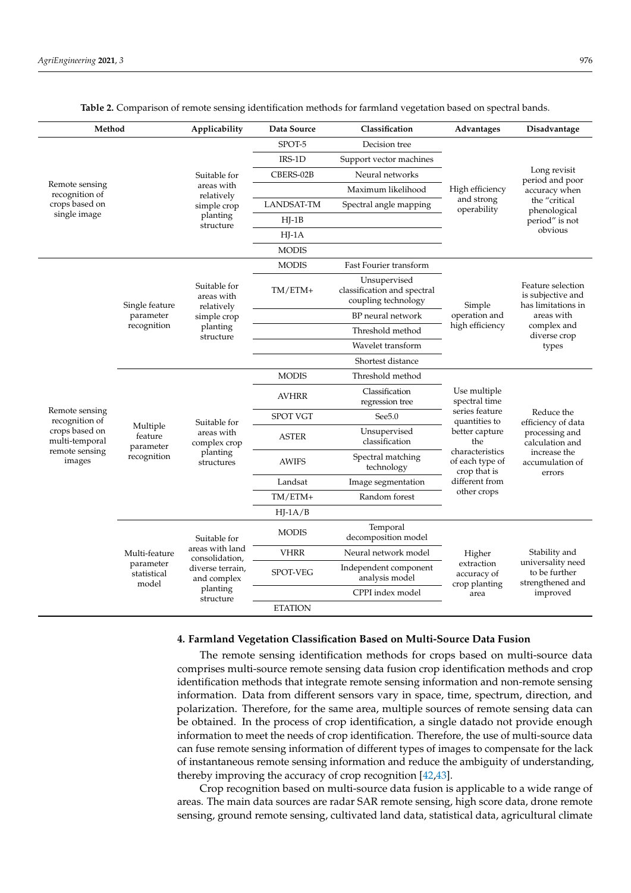<span id="page-5-0"></span>

| Method                                                                                           |                                                    | Applicability                                                                                                 | Data Source       | Classification                                                     | Advantages                                                                                                                                      | Disadvantage                                                                                                       |
|--------------------------------------------------------------------------------------------------|----------------------------------------------------|---------------------------------------------------------------------------------------------------------------|-------------------|--------------------------------------------------------------------|-------------------------------------------------------------------------------------------------------------------------------------------------|--------------------------------------------------------------------------------------------------------------------|
| Remote sensing<br>recognition of<br>crops based on<br>single image                               |                                                    |                                                                                                               | SPOT-5            | Decision tree                                                      |                                                                                                                                                 | Long revisit<br>period and poor<br>accuracy when<br>the "critical<br>phenological<br>period" is not<br>obvious     |
|                                                                                                  |                                                    |                                                                                                               | IRS-1D            | Support vector machines                                            |                                                                                                                                                 |                                                                                                                    |
|                                                                                                  |                                                    | Suitable for                                                                                                  | CBERS-02B         | Neural networks                                                    |                                                                                                                                                 |                                                                                                                    |
|                                                                                                  |                                                    | areas with<br>relatively<br>simple crop<br>planting<br>structure                                              |                   | Maximum likelihood                                                 | High efficiency<br>and strong<br>operability                                                                                                    |                                                                                                                    |
|                                                                                                  |                                                    |                                                                                                               | <b>LANDSAT-TM</b> | Spectral angle mapping                                             |                                                                                                                                                 |                                                                                                                    |
|                                                                                                  |                                                    |                                                                                                               | $HJ-1B$           |                                                                    |                                                                                                                                                 |                                                                                                                    |
|                                                                                                  |                                                    |                                                                                                               | $HJ-1A$           |                                                                    |                                                                                                                                                 |                                                                                                                    |
|                                                                                                  |                                                    |                                                                                                               | <b>MODIS</b>      |                                                                    |                                                                                                                                                 |                                                                                                                    |
|                                                                                                  | Single feature                                     | Suitable for<br>areas with<br>relatively                                                                      | <b>MODIS</b>      | Fast Fourier transform                                             |                                                                                                                                                 | Feature selection<br>is subjective and<br>has limitations in<br>areas with<br>complex and<br>diverse crop<br>types |
|                                                                                                  |                                                    |                                                                                                               | $TM/ETM+$         | Unsupervised<br>classification and spectral<br>coupling technology | Simple<br>operation and<br>high efficiency                                                                                                      |                                                                                                                    |
|                                                                                                  | parameter                                          | simple crop                                                                                                   |                   | BP neural network                                                  |                                                                                                                                                 |                                                                                                                    |
|                                                                                                  | recognition                                        | planting<br>structure                                                                                         |                   | Threshold method                                                   |                                                                                                                                                 |                                                                                                                    |
|                                                                                                  |                                                    |                                                                                                               |                   | Wavelet transform                                                  |                                                                                                                                                 |                                                                                                                    |
|                                                                                                  |                                                    |                                                                                                               |                   | Shortest distance                                                  |                                                                                                                                                 |                                                                                                                    |
|                                                                                                  |                                                    | Suitable for<br>areas with<br>complex crop<br>planting<br>structures                                          | <b>MODIS</b>      | Threshold method                                                   |                                                                                                                                                 | Reduce the<br>efficiency of data<br>processing and<br>calculation and<br>increase the<br>accumulation of<br>errors |
| Remote sensing<br>recognition of<br>crops based on<br>multi-temporal<br>remote sensing<br>images | Multiple<br>feature<br>parameter<br>recognition    |                                                                                                               | <b>AVHRR</b>      | Classification<br>regression tree                                  | Use multiple<br>spectral time                                                                                                                   |                                                                                                                    |
|                                                                                                  |                                                    |                                                                                                               | <b>SPOT VGT</b>   | See 5.0                                                            | series feature<br>quantities to<br>better capture<br>the<br>characteristics<br>of each type of<br>crop that is<br>different from<br>other crops |                                                                                                                    |
|                                                                                                  |                                                    |                                                                                                               | <b>ASTER</b>      | Unsupervised<br>classification                                     |                                                                                                                                                 |                                                                                                                    |
|                                                                                                  |                                                    |                                                                                                               | <b>AWIFS</b>      | Spectral matching<br>technology                                    |                                                                                                                                                 |                                                                                                                    |
|                                                                                                  |                                                    |                                                                                                               | Landsat           | Image segmentation                                                 |                                                                                                                                                 |                                                                                                                    |
|                                                                                                  |                                                    |                                                                                                               | $TM/ETM+$         | Random forest                                                      |                                                                                                                                                 |                                                                                                                    |
|                                                                                                  |                                                    |                                                                                                               | $HJ-1A/B$         |                                                                    |                                                                                                                                                 |                                                                                                                    |
|                                                                                                  | Multi-feature<br>parameter<br>statistical<br>model | Suitable for<br>areas with land<br>consolidation,<br>diverse terrain,<br>and complex<br>planting<br>structure | <b>MODIS</b>      | Temporal<br>decomposition model                                    |                                                                                                                                                 | Stability and<br>universality need<br>to be further<br>strengthened and<br>improved                                |
|                                                                                                  |                                                    |                                                                                                               | <b>VHRR</b>       | Neural network model                                               | Higher                                                                                                                                          |                                                                                                                    |
|                                                                                                  |                                                    |                                                                                                               | SPOT-VEG          | Independent component<br>analysis model                            | extraction<br>accuracy of<br>crop planting                                                                                                      |                                                                                                                    |
|                                                                                                  |                                                    |                                                                                                               |                   | CPPI index model                                                   | area                                                                                                                                            |                                                                                                                    |
|                                                                                                  |                                                    |                                                                                                               | <b>ETATION</b>    |                                                                    |                                                                                                                                                 |                                                                                                                    |

**Table 2.** Comparison of remote sensing identification methods for farmland vegetation based on spectral bands.

# **4. Farmland Vegetation Classification Based on Multi-Source Data Fusion**

The remote sensing identification methods for crops based on multi-source data comprises multi-source remote sensing data fusion crop identification methods and crop identification methods that integrate remote sensing information and non-remote sensing information. Data from different sensors vary in space, time, spectrum, direction, and polarization. Therefore, for the same area, multiple sources of remote sensing data can be obtained. In the process of crop identification, a single datado not provide enough information to meet the needs of crop identification. Therefore, the use of multi-source data can fuse remote sensing information of different types of images to compensate for the lack of instantaneous remote sensing information and reduce the ambiguity of understanding, thereby improving the accuracy of crop recognition [\[42,](#page-15-3)[43\]](#page-15-4).

Crop recognition based on multi-source data fusion is applicable to a wide range of areas. The main data sources are radar SAR remote sensing, high score data, drone remote sensing, ground remote sensing, cultivated land data, statistical data, agricultural climate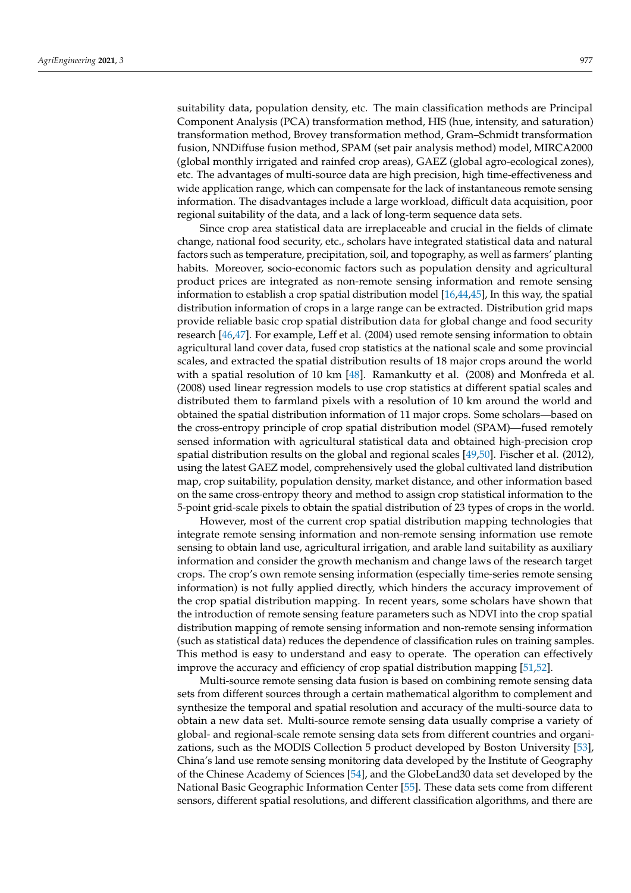suitability data, population density, etc. The main classification methods are Principal Component Analysis (PCA) transformation method, HIS (hue, intensity, and saturation) transformation method, Brovey transformation method, Gram–Schmidt transformation fusion, NNDiffuse fusion method, SPAM (set pair analysis method) model, MIRCA2000 (global monthly irrigated and rainfed crop areas), GAEZ (global agro-ecological zones), etc. The advantages of multi-source data are high precision, high time-effectiveness and wide application range, which can compensate for the lack of instantaneous remote sensing information. The disadvantages include a large workload, difficult data acquisition, poor regional suitability of the data, and a lack of long-term sequence data sets.

Since crop area statistical data are irreplaceable and crucial in the fields of climate change, national food security, etc., scholars have integrated statistical data and natural factors such as temperature, precipitation, soil, and topography, as well as farmers' planting habits. Moreover, socio-economic factors such as population density and agricultural product prices are integrated as non-remote sensing information and remote sensing information to establish a crop spatial distribution model [\[16,](#page-14-5)[44](#page-15-5)[,45\]](#page-15-6), In this way, the spatial distribution information of crops in a large range can be extracted. Distribution grid maps provide reliable basic crop spatial distribution data for global change and food security research [\[46](#page-15-7)[,47\]](#page-15-8). For example, Leff et al. (2004) used remote sensing information to obtain agricultural land cover data, fused crop statistics at the national scale and some provincial scales, and extracted the spatial distribution results of 18 major crops around the world with a spatial resolution of 10 km [\[48\]](#page-15-9). Ramankutty et al. (2008) and Monfreda et al. (2008) used linear regression models to use crop statistics at different spatial scales and distributed them to farmland pixels with a resolution of 10 km around the world and obtained the spatial distribution information of 11 major crops. Some scholars—based on the cross-entropy principle of crop spatial distribution model (SPAM)—fused remotely sensed information with agricultural statistical data and obtained high-precision crop spatial distribution results on the global and regional scales [\[49](#page-15-10)[,50\]](#page-15-11). Fischer et al. (2012), using the latest GAEZ model, comprehensively used the global cultivated land distribution map, crop suitability, population density, market distance, and other information based on the same cross-entropy theory and method to assign crop statistical information to the 5-point grid-scale pixels to obtain the spatial distribution of 23 types of crops in the world.

However, most of the current crop spatial distribution mapping technologies that integrate remote sensing information and non-remote sensing information use remote sensing to obtain land use, agricultural irrigation, and arable land suitability as auxiliary information and consider the growth mechanism and change laws of the research target crops. The crop's own remote sensing information (especially time-series remote sensing information) is not fully applied directly, which hinders the accuracy improvement of the crop spatial distribution mapping. In recent years, some scholars have shown that the introduction of remote sensing feature parameters such as NDVI into the crop spatial distribution mapping of remote sensing information and non-remote sensing information (such as statistical data) reduces the dependence of classification rules on training samples. This method is easy to understand and easy to operate. The operation can effectively improve the accuracy and efficiency of crop spatial distribution mapping [\[51,](#page-15-12)[52\]](#page-15-13).

Multi-source remote sensing data fusion is based on combining remote sensing data sets from different sources through a certain mathematical algorithm to complement and synthesize the temporal and spatial resolution and accuracy of the multi-source data to obtain a new data set. Multi-source remote sensing data usually comprise a variety of global- and regional-scale remote sensing data sets from different countries and organizations, such as the MODIS Collection 5 product developed by Boston University [\[53\]](#page-15-14), China's land use remote sensing monitoring data developed by the Institute of Geography of the Chinese Academy of Sciences [\[54\]](#page-15-15), and the GlobeLand30 data set developed by the National Basic Geographic Information Center [\[55\]](#page-15-16). These data sets come from different sensors, different spatial resolutions, and different classification algorithms, and there are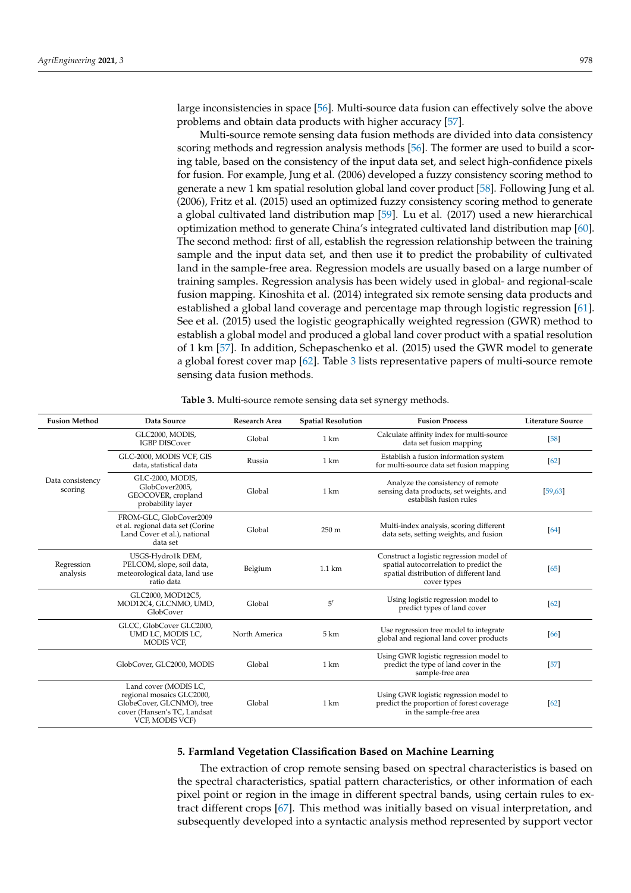large inconsistencies in space [\[56\]](#page-15-17). Multi-source data fusion can effectively solve the above problems and obtain data products with higher accuracy [\[57\]](#page-15-18).

Multi-source remote sensing data fusion methods are divided into data consistency scoring methods and regression analysis methods [\[56\]](#page-15-17). The former are used to build a scoring table, based on the consistency of the input data set, and select high-confidence pixels for fusion. For example, Jung et al. (2006) developed a fuzzy consistency scoring method to generate a new 1 km spatial resolution global land cover product [\[58\]](#page-15-19). Following Jung et al. (2006), Fritz et al. (2015) used an optimized fuzzy consistency scoring method to generate a global cultivated land distribution map [\[59\]](#page-15-20). Lu et al. (2017) used a new hierarchical optimization method to generate China's integrated cultivated land distribution map [\[60\]](#page-15-21). The second method: first of all, establish the regression relationship between the training sample and the input data set, and then use it to predict the probability of cultivated land in the sample-free area. Regression models are usually based on a large number of training samples. Regression analysis has been widely used in global- and regional-scale fusion mapping. Kinoshita et al. (2014) integrated six remote sensing data products and established a global land coverage and percentage map through logistic regression [\[61\]](#page-15-22). See et al. (2015) used the logistic geographically weighted regression (GWR) method to establish a global model and produced a global land cover product with a spatial resolution of 1 km [\[57\]](#page-15-18). In addition, Schepaschenko et al. (2015) used the GWR model to generate a global forest cover map [\[62\]](#page-15-23). Table [3](#page-7-0) lists representative papers of multi-source remote sensing data fusion methods.

**Table 3.** Multi-source remote sensing data set synergy methods.

<span id="page-7-0"></span>

| <b>Fusion Method</b>        | Data Source                                                                                                                       | Research Area | <b>Spatial Resolution</b> | <b>Fusion Process</b>                                                                                                                       | <b>Literature Source</b> |
|-----------------------------|-----------------------------------------------------------------------------------------------------------------------------------|---------------|---------------------------|---------------------------------------------------------------------------------------------------------------------------------------------|--------------------------|
| Data consistency<br>scoring | GLC2000, MODIS,<br><b>IGBP DISCover</b>                                                                                           | Global        | 1 km                      | Calculate affinity index for multi-source<br>data set fusion mapping                                                                        | $[58]$                   |
|                             | GLC-2000, MODIS VCF, GIS<br>data, statistical data                                                                                | Russia        | 1 km                      | Establish a fusion information system<br>for multi-source data set fusion mapping                                                           | [62]                     |
|                             | GLC-2000, MODIS,<br>GlobCover2005,<br>GEOCOVER, cropland<br>probability layer                                                     | Global        | 1 km                      | Analyze the consistency of remote<br>sensing data products, set weights, and<br>establish fusion rules                                      | [59, 63]                 |
|                             | FROM-GLC, GlobCover2009<br>et al. regional data set (Corine<br>Land Cover et al.), national<br>data set                           | Global        | 250 <sub>m</sub>          | Multi-index analysis, scoring different<br>data sets, setting weights, and fusion                                                           | [64]                     |
| Regression<br>analysis      | USGS-Hydro1k DEM,<br>PELCOM, slope, soil data,<br>meteorological data, land use<br>ratio data                                     | Belgium       | $1.1 \text{ km}$          | Construct a logistic regression model of<br>spatial autocorrelation to predict the<br>spatial distribution of different land<br>cover types | [65]                     |
|                             | GLC2000, MOD12C5,<br>MOD12C4, GLCNMO, UMD,<br>GlobCover                                                                           | Global        | 5'                        | Using logistic regression model to<br>predict types of land cover                                                                           | [62]                     |
|                             | GLCC, GlobCover GLC2000,<br>UMD LC, MODIS LC,<br>MODIS VCF,                                                                       | North America | 5 km                      | Use regression tree model to integrate<br>global and regional land cover products                                                           | [66]                     |
|                             | GlobCover, GLC2000, MODIS                                                                                                         | Global        | 1 km                      | Using GWR logistic regression model to<br>predict the type of land cover in the<br>sample-free area                                         | $[57]$                   |
|                             | Land cover (MODIS LC,<br>regional mosaics GLC2000,<br>GlobeCover, GLCNMO), tree<br>cover (Hansen's TC, Landsat<br>VCF, MODIS VCF) | Global        | 1 km                      | Using GWR logistic regression model to<br>predict the proportion of forest coverage<br>in the sample-free area                              | [62]                     |

#### **5. Farmland Vegetation Classification Based on Machine Learning**

The extraction of crop remote sensing based on spectral characteristics is based on the spectral characteristics, spatial pattern characteristics, or other information of each pixel point or region in the image in different spectral bands, using certain rules to extract different crops [\[67\]](#page-16-0). This method was initially based on visual interpretation, and subsequently developed into a syntactic analysis method represented by support vector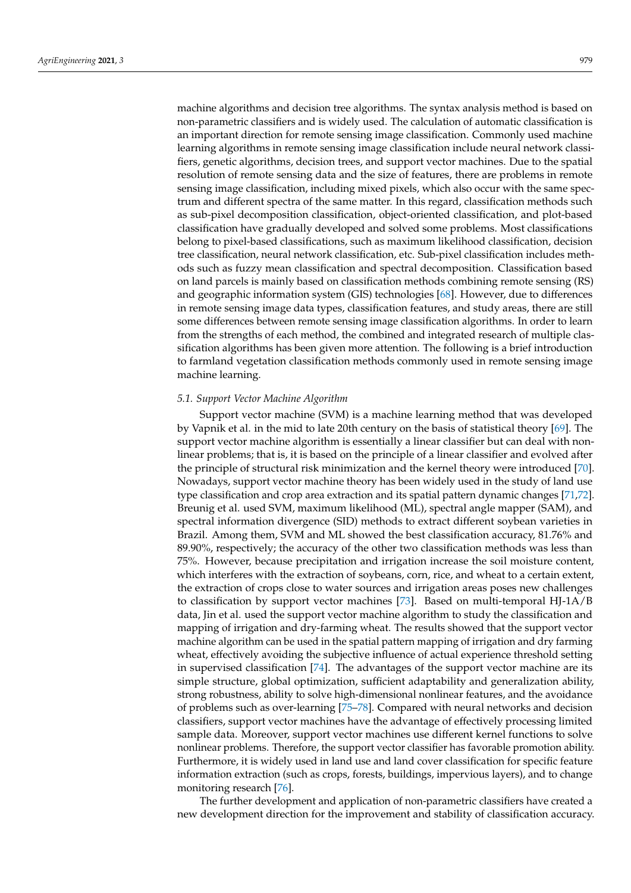machine algorithms and decision tree algorithms. The syntax analysis method is based on non-parametric classifiers and is widely used. The calculation of automatic classification is an important direction for remote sensing image classification. Commonly used machine learning algorithms in remote sensing image classification include neural network classifiers, genetic algorithms, decision trees, and support vector machines. Due to the spatial resolution of remote sensing data and the size of features, there are problems in remote sensing image classification, including mixed pixels, which also occur with the same spectrum and different spectra of the same matter. In this regard, classification methods such as sub-pixel decomposition classification, object-oriented classification, and plot-based classification have gradually developed and solved some problems. Most classifications belong to pixel-based classifications, such as maximum likelihood classification, decision tree classification, neural network classification, etc. Sub-pixel classification includes methods such as fuzzy mean classification and spectral decomposition. Classification based on land parcels is mainly based on classification methods combining remote sensing (RS) and geographic information system (GIS) technologies [\[68\]](#page-16-1). However, due to differences in remote sensing image data types, classification features, and study areas, there are still some differences between remote sensing image classification algorithms. In order to learn from the strengths of each method, the combined and integrated research of multiple classification algorithms has been given more attention. The following is a brief introduction to farmland vegetation classification methods commonly used in remote sensing image machine learning.

## *5.1. Support Vector Machine Algorithm*

Support vector machine (SVM) is a machine learning method that was developed by Vapnik et al. in the mid to late 20th century on the basis of statistical theory [\[69\]](#page-16-2). The support vector machine algorithm is essentially a linear classifier but can deal with nonlinear problems; that is, it is based on the principle of a linear classifier and evolved after the principle of structural risk minimization and the kernel theory were introduced [\[70\]](#page-16-3). Nowadays, support vector machine theory has been widely used in the study of land use type classification and crop area extraction and its spatial pattern dynamic changes [\[71](#page-16-4)[,72\]](#page-16-5). Breunig et al. used SVM, maximum likelihood (ML), spectral angle mapper (SAM), and spectral information divergence (SID) methods to extract different soybean varieties in Brazil. Among them, SVM and ML showed the best classification accuracy, 81.76% and 89.90%, respectively; the accuracy of the other two classification methods was less than 75%. However, because precipitation and irrigation increase the soil moisture content, which interferes with the extraction of soybeans, corn, rice, and wheat to a certain extent, the extraction of crops close to water sources and irrigation areas poses new challenges to classification by support vector machines [\[73\]](#page-16-6). Based on multi-temporal HJ-1A/B data, Jin et al. used the support vector machine algorithm to study the classification and mapping of irrigation and dry-farming wheat. The results showed that the support vector machine algorithm can be used in the spatial pattern mapping of irrigation and dry farming wheat, effectively avoiding the subjective influence of actual experience threshold setting in supervised classification [\[74\]](#page-16-7). The advantages of the support vector machine are its simple structure, global optimization, sufficient adaptability and generalization ability, strong robustness, ability to solve high-dimensional nonlinear features, and the avoidance of problems such as over-learning [\[75–](#page-16-8)[78\]](#page-16-9). Compared with neural networks and decision classifiers, support vector machines have the advantage of effectively processing limited sample data. Moreover, support vector machines use different kernel functions to solve nonlinear problems. Therefore, the support vector classifier has favorable promotion ability. Furthermore, it is widely used in land use and land cover classification for specific feature information extraction (such as crops, forests, buildings, impervious layers), and to change monitoring research [\[76\]](#page-16-10).

The further development and application of non-parametric classifiers have created a new development direction for the improvement and stability of classification accuracy.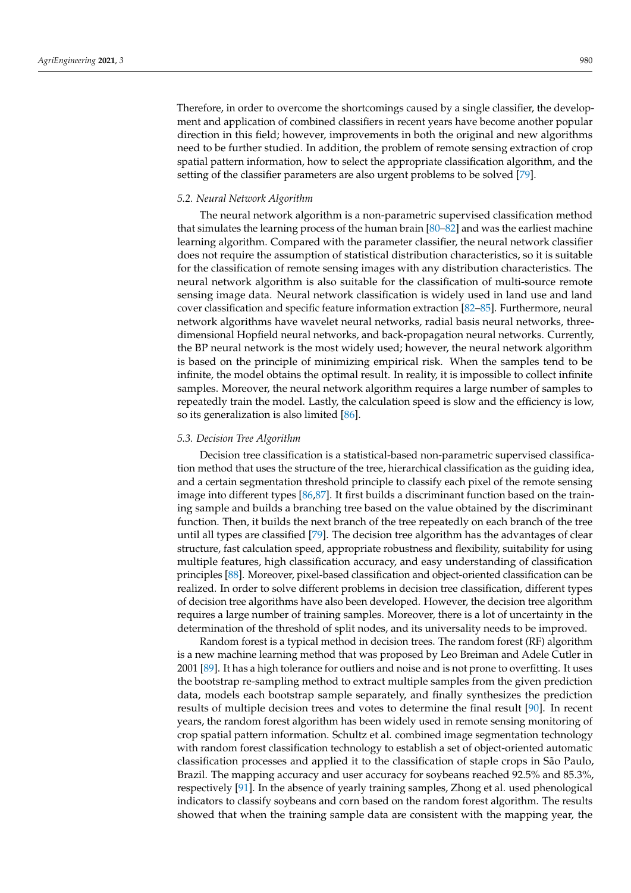Therefore, in order to overcome the shortcomings caused by a single classifier, the development and application of combined classifiers in recent years have become another popular direction in this field; however, improvements in both the original and new algorithms need to be further studied. In addition, the problem of remote sensing extraction of crop spatial pattern information, how to select the appropriate classification algorithm, and the setting of the classifier parameters are also urgent problems to be solved [\[79\]](#page-16-11).

#### *5.2. Neural Network Algorithm*

The neural network algorithm is a non-parametric supervised classification method that simulates the learning process of the human brain [\[80](#page-16-12)[–82\]](#page-16-13) and was the earliest machine learning algorithm. Compared with the parameter classifier, the neural network classifier does not require the assumption of statistical distribution characteristics, so it is suitable for the classification of remote sensing images with any distribution characteristics. The neural network algorithm is also suitable for the classification of multi-source remote sensing image data. Neural network classification is widely used in land use and land cover classification and specific feature information extraction [\[82](#page-16-13)[–85\]](#page-16-14). Furthermore, neural network algorithms have wavelet neural networks, radial basis neural networks, threedimensional Hopfield neural networks, and back-propagation neural networks. Currently, the BP neural network is the most widely used; however, the neural network algorithm is based on the principle of minimizing empirical risk. When the samples tend to be infinite, the model obtains the optimal result. In reality, it is impossible to collect infinite samples. Moreover, the neural network algorithm requires a large number of samples to repeatedly train the model. Lastly, the calculation speed is slow and the efficiency is low, so its generalization is also limited [\[86\]](#page-16-15).

## *5.3. Decision Tree Algorithm*

Decision tree classification is a statistical-based non-parametric supervised classification method that uses the structure of the tree, hierarchical classification as the guiding idea, and a certain segmentation threshold principle to classify each pixel of the remote sensing image into different types [\[86,](#page-16-15)[87\]](#page-16-16). It first builds a discriminant function based on the training sample and builds a branching tree based on the value obtained by the discriminant function. Then, it builds the next branch of the tree repeatedly on each branch of the tree until all types are classified [\[79\]](#page-16-11). The decision tree algorithm has the advantages of clear structure, fast calculation speed, appropriate robustness and flexibility, suitability for using multiple features, high classification accuracy, and easy understanding of classification principles [\[88\]](#page-16-17). Moreover, pixel-based classification and object-oriented classification can be realized. In order to solve different problems in decision tree classification, different types of decision tree algorithms have also been developed. However, the decision tree algorithm requires a large number of training samples. Moreover, there is a lot of uncertainty in the determination of the threshold of split nodes, and its universality needs to be improved.

Random forest is a typical method in decision trees. The random forest (RF) algorithm is a new machine learning method that was proposed by Leo Breiman and Adele Cutler in 2001 [\[89\]](#page-16-18). It has a high tolerance for outliers and noise and is not prone to overfitting. It uses the bootstrap re-sampling method to extract multiple samples from the given prediction data, models each bootstrap sample separately, and finally synthesizes the prediction results of multiple decision trees and votes to determine the final result [\[90\]](#page-16-19). In recent years, the random forest algorithm has been widely used in remote sensing monitoring of crop spatial pattern information. Schultz et al. combined image segmentation technology with random forest classification technology to establish a set of object-oriented automatic classification processes and applied it to the classification of staple crops in São Paulo, Brazil. The mapping accuracy and user accuracy for soybeans reached 92.5% and 85.3%, respectively [\[91\]](#page-16-20). In the absence of yearly training samples, Zhong et al. used phenological indicators to classify soybeans and corn based on the random forest algorithm. The results showed that when the training sample data are consistent with the mapping year, the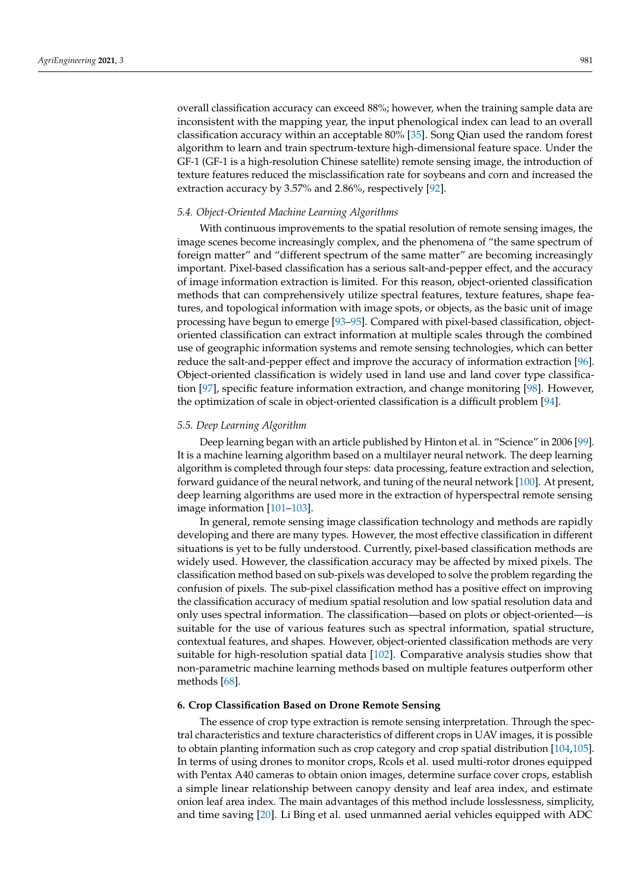overall classification accuracy can exceed 88%; however, when the training sample data are inconsistent with the mapping year, the input phenological index can lead to an overall classification accuracy within an acceptable 80% [\[35\]](#page-14-23). Song Qian used the random forest algorithm to learn and train spectrum-texture high-dimensional feature space. Under the GF-1 (GF-1 is a high-resolution Chinese satellite) remote sensing image, the introduction of texture features reduced the misclassification rate for soybeans and corn and increased the extraction accuracy by 3.57% and 2.86%, respectively [\[92\]](#page-16-21).

#### *5.4. Object-Oriented Machine Learning Algorithms*

With continuous improvements to the spatial resolution of remote sensing images, the image scenes become increasingly complex, and the phenomena of "the same spectrum of foreign matter" and "different spectrum of the same matter" are becoming increasingly important. Pixel-based classification has a serious salt-and-pepper effect, and the accuracy of image information extraction is limited. For this reason, object-oriented classification methods that can comprehensively utilize spectral features, texture features, shape features, and topological information with image spots, or objects, as the basic unit of image processing have begun to emerge [\[93](#page-16-22)[–95\]](#page-16-23). Compared with pixel-based classification, objectoriented classification can extract information at multiple scales through the combined use of geographic information systems and remote sensing technologies, which can better reduce the salt-and-pepper effect and improve the accuracy of information extraction [\[96\]](#page-16-24). Object-oriented classification is widely used in land use and land cover type classification [\[97\]](#page-16-25), specific feature information extraction, and change monitoring [\[98\]](#page-17-0). However, the optimization of scale in object-oriented classification is a difficult problem [\[94\]](#page-16-26).

#### *5.5. Deep Learning Algorithm*

Deep learning began with an article published by Hinton et al. in "Science" in 2006 [\[99\]](#page-17-1). It is a machine learning algorithm based on a multilayer neural network. The deep learning algorithm is completed through four steps: data processing, feature extraction and selection, forward guidance of the neural network, and tuning of the neural network [\[100\]](#page-17-2). At present, deep learning algorithms are used more in the extraction of hyperspectral remote sensing image information [\[101](#page-17-3)[–103\]](#page-17-4).

In general, remote sensing image classification technology and methods are rapidly developing and there are many types. However, the most effective classification in different situations is yet to be fully understood. Currently, pixel-based classification methods are widely used. However, the classification accuracy may be affected by mixed pixels. The classification method based on sub-pixels was developed to solve the problem regarding the confusion of pixels. The sub-pixel classification method has a positive effect on improving the classification accuracy of medium spatial resolution and low spatial resolution data and only uses spectral information. The classification—based on plots or object-oriented—is suitable for the use of various features such as spectral information, spatial structure, contextual features, and shapes. However, object-oriented classification methods are very suitable for high-resolution spatial data [\[102\]](#page-17-5). Comparative analysis studies show that non-parametric machine learning methods based on multiple features outperform other methods [\[68\]](#page-16-1).

## **6. Crop Classification Based on Drone Remote Sensing**

The essence of crop type extraction is remote sensing interpretation. Through the spectral characteristics and texture characteristics of different crops in UAV images, it is possible to obtain planting information such as crop category and crop spatial distribution [\[104](#page-17-6)[,105\]](#page-17-7). In terms of using drones to monitor crops, Rcols et al. used multi-rotor drones equipped with Pentax A40 cameras to obtain onion images, determine surface cover crops, establish a simple linear relationship between canopy density and leaf area index, and estimate onion leaf area index. The main advantages of this method include losslessness, simplicity, and time saving [\[20\]](#page-14-8). Li Bing et al. used unmanned aerial vehicles equipped with ADC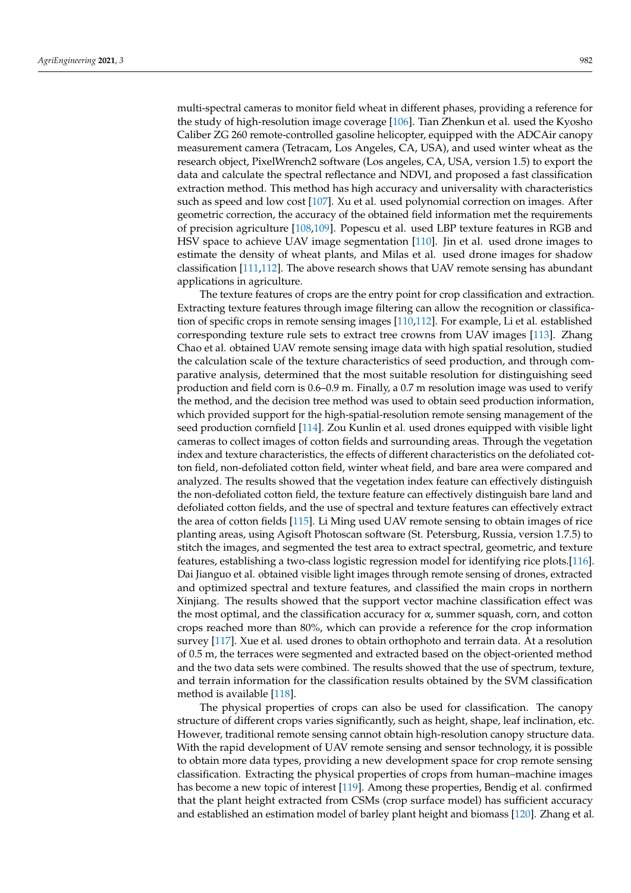multi-spectral cameras to monitor field wheat in different phases, providing a reference for the study of high-resolution image coverage [\[106\]](#page-17-8). Tian Zhenkun et al. used the Kyosho Caliber ZG 260 remote-controlled gasoline helicopter, equipped with the ADCAir canopy measurement camera (Tetracam, Los Angeles, CA, USA), and used winter wheat as the research object, PixelWrench2 software (Los angeles, CA, USA, version 1.5) to export the data and calculate the spectral reflectance and NDVI, and proposed a fast classification extraction method. This method has high accuracy and universality with characteristics such as speed and low cost [\[107\]](#page-17-9). Xu et al. used polynomial correction on images. After geometric correction, the accuracy of the obtained field information met the requirements of precision agriculture [\[108,](#page-17-10)[109\]](#page-17-11). Popescu et al. used LBP texture features in RGB and HSV space to achieve UAV image segmentation [\[110\]](#page-17-12). Jin et al. used drone images to estimate the density of wheat plants, and Milas et al. used drone images for shadow classification [\[111,](#page-17-13)[112\]](#page-17-14). The above research shows that UAV remote sensing has abundant applications in agriculture.

The texture features of crops are the entry point for crop classification and extraction. Extracting texture features through image filtering can allow the recognition or classification of specific crops in remote sensing images [\[110](#page-17-12)[,112\]](#page-17-14). For example, Li et al. established corresponding texture rule sets to extract tree crowns from UAV images [\[113\]](#page-17-15). Zhang Chao et al. obtained UAV remote sensing image data with high spatial resolution, studied the calculation scale of the texture characteristics of seed production, and through comparative analysis, determined that the most suitable resolution for distinguishing seed production and field corn is 0.6–0.9 m. Finally, a 0.7 m resolution image was used to verify the method, and the decision tree method was used to obtain seed production information, which provided support for the high-spatial-resolution remote sensing management of the seed production cornfield [\[114\]](#page-17-16). Zou Kunlin et al. used drones equipped with visible light cameras to collect images of cotton fields and surrounding areas. Through the vegetation index and texture characteristics, the effects of different characteristics on the defoliated cotton field, non-defoliated cotton field, winter wheat field, and bare area were compared and analyzed. The results showed that the vegetation index feature can effectively distinguish the non-defoliated cotton field, the texture feature can effectively distinguish bare land and defoliated cotton fields, and the use of spectral and texture features can effectively extract the area of cotton fields [\[115\]](#page-17-17). Li Ming used UAV remote sensing to obtain images of rice planting areas, using Agisoft Photoscan software (St. Petersburg, Russia, version 1.7.5) to stitch the images, and segmented the test area to extract spectral, geometric, and texture features, establishing a two-class logistic regression model for identifying rice plots.[\[116\]](#page-17-18). Dai Jianguo et al. obtained visible light images through remote sensing of drones, extracted and optimized spectral and texture features, and classified the main crops in northern Xinjiang. The results showed that the support vector machine classification effect was the most optimal, and the classification accuracy for  $\alpha$ , summer squash, corn, and cotton crops reached more than 80%, which can provide a reference for the crop information survey [\[117\]](#page-17-19). Xue et al. used drones to obtain orthophoto and terrain data. At a resolution of 0.5 m, the terraces were segmented and extracted based on the object-oriented method and the two data sets were combined. The results showed that the use of spectrum, texture, and terrain information for the classification results obtained by the SVM classification method is available [\[118\]](#page-17-20).

The physical properties of crops can also be used for classification. The canopy structure of different crops varies significantly, such as height, shape, leaf inclination, etc. However, traditional remote sensing cannot obtain high-resolution canopy structure data. With the rapid development of UAV remote sensing and sensor technology, it is possible to obtain more data types, providing a new development space for crop remote sensing classification. Extracting the physical properties of crops from human–machine images has become a new topic of interest [\[119\]](#page-17-21). Among these properties, Bendig et al. confirmed that the plant height extracted from CSMs (crop surface model) has sufficient accuracy and established an estimation model of barley plant height and biomass [\[120\]](#page-17-22). Zhang et al.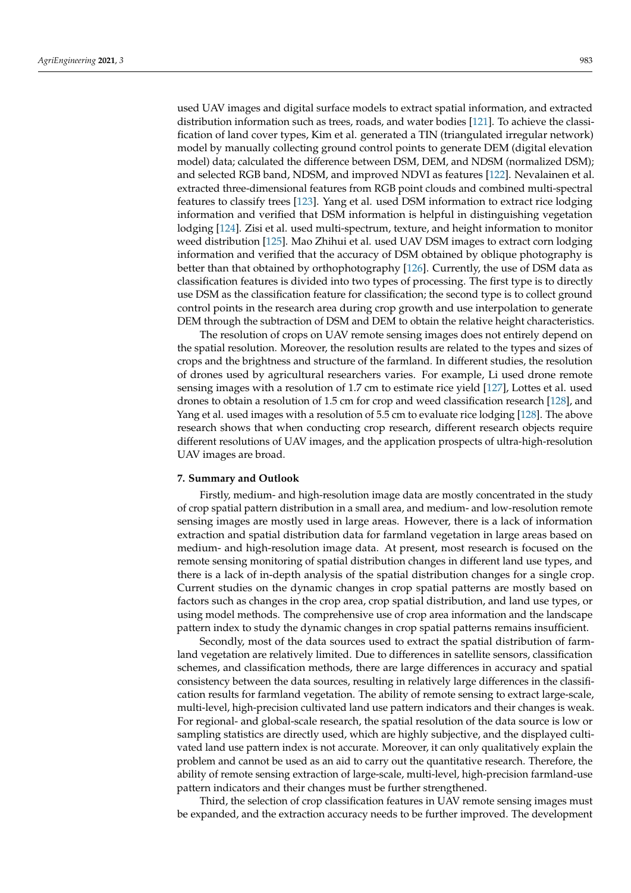used UAV images and digital surface models to extract spatial information, and extracted distribution information such as trees, roads, and water bodies [\[121\]](#page-17-23). To achieve the classification of land cover types, Kim et al. generated a TIN (triangulated irregular network) model by manually collecting ground control points to generate DEM (digital elevation model) data; calculated the difference between DSM, DEM, and NDSM (normalized DSM); and selected RGB band, NDSM, and improved NDVI as features [\[122\]](#page-17-24). Nevalainen et al. extracted three-dimensional features from RGB point clouds and combined multi-spectral features to classify trees [\[123\]](#page-17-25). Yang et al. used DSM information to extract rice lodging information and verified that DSM information is helpful in distinguishing vegetation lodging [\[124\]](#page-17-26). Zisi et al. used multi-spectrum, texture, and height information to monitor weed distribution [\[125\]](#page-17-27). Mao Zhihui et al. used UAV DSM images to extract corn lodging information and verified that the accuracy of DSM obtained by oblique photography is better than that obtained by orthophotography [\[126\]](#page-18-0). Currently, the use of DSM data as classification features is divided into two types of processing. The first type is to directly use DSM as the classification feature for classification; the second type is to collect ground control points in the research area during crop growth and use interpolation to generate DEM through the subtraction of DSM and DEM to obtain the relative height characteristics.

The resolution of crops on UAV remote sensing images does not entirely depend on the spatial resolution. Moreover, the resolution results are related to the types and sizes of crops and the brightness and structure of the farmland. In different studies, the resolution of drones used by agricultural researchers varies. For example, Li used drone remote sensing images with a resolution of 1.7 cm to estimate rice yield [\[127\]](#page-18-1), Lottes et al. used drones to obtain a resolution of 1.5 cm for crop and weed classification research [\[128\]](#page-18-2), and Yang et al. used images with a resolution of 5.5 cm to evaluate rice lodging [\[128\]](#page-18-2). The above research shows that when conducting crop research, different research objects require different resolutions of UAV images, and the application prospects of ultra-high-resolution UAV images are broad.

#### **7. Summary and Outlook**

Firstly, medium- and high-resolution image data are mostly concentrated in the study of crop spatial pattern distribution in a small area, and medium- and low-resolution remote sensing images are mostly used in large areas. However, there is a lack of information extraction and spatial distribution data for farmland vegetation in large areas based on medium- and high-resolution image data. At present, most research is focused on the remote sensing monitoring of spatial distribution changes in different land use types, and there is a lack of in-depth analysis of the spatial distribution changes for a single crop. Current studies on the dynamic changes in crop spatial patterns are mostly based on factors such as changes in the crop area, crop spatial distribution, and land use types, or using model methods. The comprehensive use of crop area information and the landscape pattern index to study the dynamic changes in crop spatial patterns remains insufficient.

Secondly, most of the data sources used to extract the spatial distribution of farmland vegetation are relatively limited. Due to differences in satellite sensors, classification schemes, and classification methods, there are large differences in accuracy and spatial consistency between the data sources, resulting in relatively large differences in the classification results for farmland vegetation. The ability of remote sensing to extract large-scale, multi-level, high-precision cultivated land use pattern indicators and their changes is weak. For regional- and global-scale research, the spatial resolution of the data source is low or sampling statistics are directly used, which are highly subjective, and the displayed cultivated land use pattern index is not accurate. Moreover, it can only qualitatively explain the problem and cannot be used as an aid to carry out the quantitative research. Therefore, the ability of remote sensing extraction of large-scale, multi-level, high-precision farmland-use pattern indicators and their changes must be further strengthened.

Third, the selection of crop classification features in UAV remote sensing images must be expanded, and the extraction accuracy needs to be further improved. The development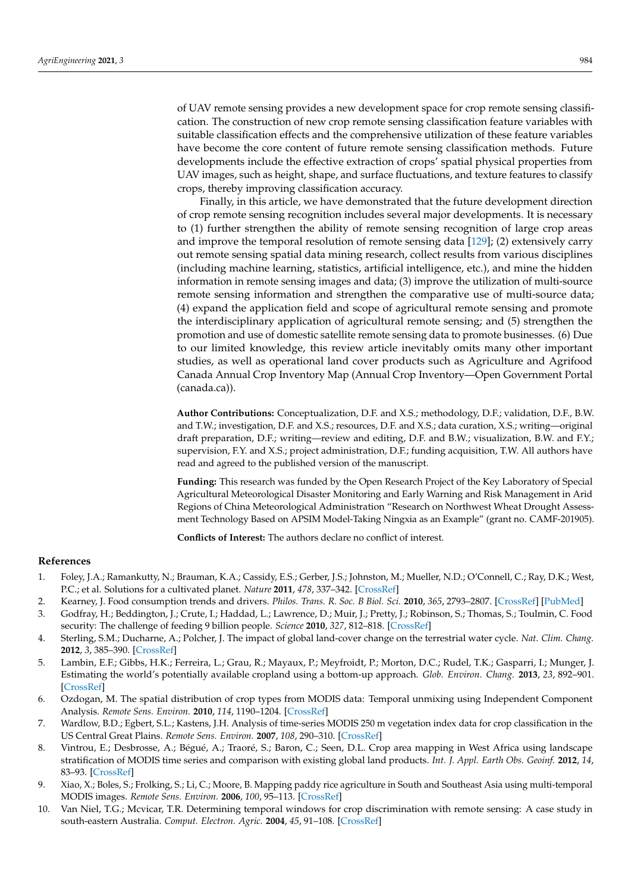of UAV remote sensing provides a new development space for crop remote sensing classification. The construction of new crop remote sensing classification feature variables with suitable classification effects and the comprehensive utilization of these feature variables have become the core content of future remote sensing classification methods. Future developments include the effective extraction of crops' spatial physical properties from UAV images, such as height, shape, and surface fluctuations, and texture features to classify crops, thereby improving classification accuracy.

Finally, in this article, we have demonstrated that the future development direction of crop remote sensing recognition includes several major developments. It is necessary to (1) further strengthen the ability of remote sensing recognition of large crop areas and improve the temporal resolution of remote sensing data [\[129\]](#page-18-3); (2) extensively carry out remote sensing spatial data mining research, collect results from various disciplines (including machine learning, statistics, artificial intelligence, etc.), and mine the hidden information in remote sensing images and data; (3) improve the utilization of multi-source remote sensing information and strengthen the comparative use of multi-source data; (4) expand the application field and scope of agricultural remote sensing and promote the interdisciplinary application of agricultural remote sensing; and (5) strengthen the promotion and use of domestic satellite remote sensing data to promote businesses. (6) Due to our limited knowledge, this review article inevitably omits many other important studies, as well as operational land cover products such as Agriculture and Agrifood Canada Annual Crop Inventory Map (Annual Crop Inventory—Open Government Portal (canada.ca)).

**Author Contributions:** Conceptualization, D.F. and X.S.; methodology, D.F.; validation, D.F., B.W. and T.W.; investigation, D.F. and X.S.; resources, D.F. and X.S.; data curation, X.S.; writing—original draft preparation, D.F.; writing—review and editing, D.F. and B.W.; visualization, B.W. and F.Y.; supervision, F.Y. and X.S.; project administration, D.F.; funding acquisition, T.W. All authors have read and agreed to the published version of the manuscript.

**Funding:** This research was funded by the Open Research Project of the Key Laboratory of Special Agricultural Meteorological Disaster Monitoring and Early Warning and Risk Management in Arid Regions of China Meteorological Administration "Research on Northwest Wheat Drought Assessment Technology Based on APSIM Model-Taking Ningxia as an Example" (grant no. CAMF-201905).

**Conflicts of Interest:** The authors declare no conflict of interest.

#### **References**

- <span id="page-13-0"></span>1. Foley, J.A.; Ramankutty, N.; Brauman, K.A.; Cassidy, E.S.; Gerber, J.S.; Johnston, M.; Mueller, N.D.; O'Connell, C.; Ray, D.K.; West, P.C.; et al. Solutions for a cultivated planet. *Nature* **2011**, *478*, 337–342. [\[CrossRef\]](http://doi.org/10.1038/nature10452)
- <span id="page-13-1"></span>2. Kearney, J. Food consumption trends and drivers. *Philos. Trans. R. Soc. B Biol. Sci.* **2010**, *365*, 2793–2807. [\[CrossRef\]](http://doi.org/10.1098/rstb.2010.0149) [\[PubMed\]](http://www.ncbi.nlm.nih.gov/pubmed/20713385)
- <span id="page-13-2"></span>3. Godfray, H.; Beddington, J.; Crute, I.; Haddad, L.; Lawrence, D.; Muir, J.; Pretty, J.; Robinson, S.; Thomas, S.; Toulmin, C. Food security: The challenge of feeding 9 billion people. *Science* **2010**, *327*, 812–818. [\[CrossRef\]](http://doi.org/10.1126/science.1185383)
- <span id="page-13-3"></span>4. Sterling, S.M.; Ducharne, A.; Polcher, J. The impact of global land-cover change on the terrestrial water cycle. *Nat. Clim. Chang.* **2012**, *3*, 385–390. [\[CrossRef\]](http://doi.org/10.1038/nclimate1690)
- <span id="page-13-4"></span>5. Lambin, E.F.; Gibbs, H.K.; Ferreira, L.; Grau, R.; Mayaux, P.; Meyfroidt, P.; Morton, D.C.; Rudel, T.K.; Gasparri, I.; Munger, J. Estimating the world's potentially available cropland using a bottom-up approach. *Glob. Environ. Chang.* **2013**, *23*, 892–901. [\[CrossRef\]](http://doi.org/10.1016/j.gloenvcha.2013.05.005)
- <span id="page-13-5"></span>6. Ozdogan, M. The spatial distribution of crop types from MODIS data: Temporal unmixing using Independent Component Analysis. *Remote Sens. Environ.* **2010**, *114*, 1190–1204. [\[CrossRef\]](http://doi.org/10.1016/j.rse.2010.01.006)
- <span id="page-13-6"></span>7. Wardlow, B.D.; Egbert, S.L.; Kastens, J.H. Analysis of time-series MODIS 250 m vegetation index data for crop classification in the US Central Great Plains. *Remote Sens. Environ.* **2007**, *108*, 290–310. [\[CrossRef\]](http://doi.org/10.1016/j.rse.2006.11.021)
- <span id="page-13-7"></span>8. Vintrou, E.; Desbrosse, A.; Bégué, A.; Traoré, S.; Baron, C.; Seen, D.L. Crop area mapping in West Africa using landscape stratification of MODIS time series and comparison with existing global land products. *Int. J. Appl. Earth Obs. Geoinf.* **2012**, *14*, 83–93. [\[CrossRef\]](http://doi.org/10.1016/j.jag.2011.06.010)
- <span id="page-13-8"></span>9. Xiao, X.; Boles, S.; Frolking, S.; Li, C.; Moore, B. Mapping paddy rice agriculture in South and Southeast Asia using multi-temporal MODIS images. *Remote Sens. Environ.* **2006**, *100*, 95–113. [\[CrossRef\]](http://doi.org/10.1016/j.rse.2005.10.004)
- <span id="page-13-9"></span>10. Van Niel, T.G.; Mcvicar, T.R. Determining temporal windows for crop discrimination with remote sensing: A case study in south-eastern Australia. *Comput. Electron. Agric.* **2004**, *45*, 91–108. [\[CrossRef\]](http://doi.org/10.1016/j.compag.2004.06.003)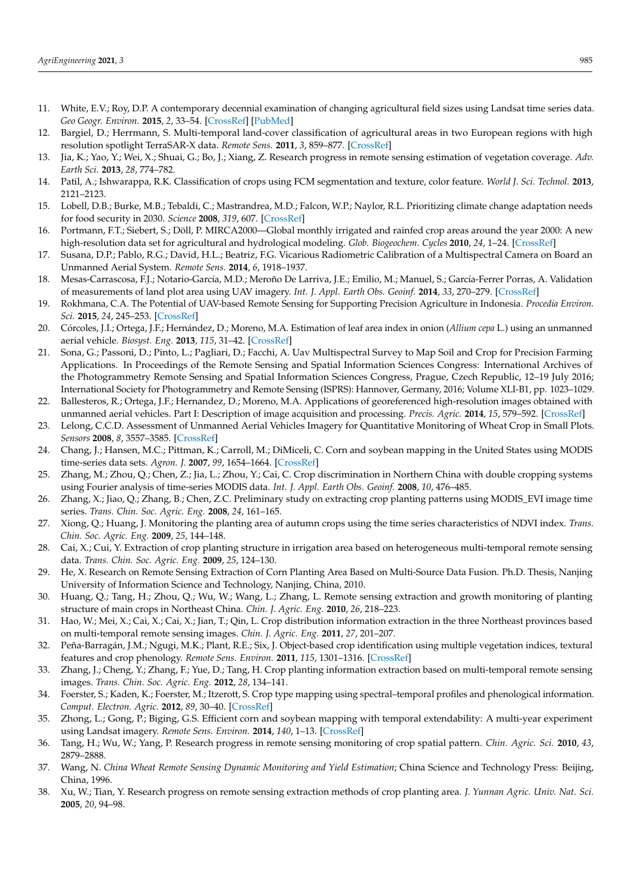- <span id="page-14-0"></span>11. White, E.V.; Roy, D.P. A contemporary decennial examination of changing agricultural field sizes using Landsat time series data. *Geo Geogr. Environ.* **2015**, *2*, 33–54. [\[CrossRef\]](http://doi.org/10.1002/geo2.4) [\[PubMed\]](http://www.ncbi.nlm.nih.gov/pubmed/27669424)
- <span id="page-14-1"></span>12. Bargiel, D.; Herrmann, S. Multi-temporal land-cover classification of agricultural areas in two European regions with high resolution spotlight TerraSAR-X data. *Remote Sens.* **2011**, *3*, 859–877. [\[CrossRef\]](http://doi.org/10.3390/rs3050859)
- <span id="page-14-2"></span>13. Jia, K.; Yao, Y.; Wei, X.; Shuai, G.; Bo, J.; Xiang, Z. Research progress in remote sensing estimation of vegetation coverage. *Adv. Earth Sci.* **2013**, *28*, 774–782.
- <span id="page-14-3"></span>14. Patil, A.; Ishwarappa, R.K. Classification of crops using FCM segmentation and texture, color feature. *World J. Sci. Technol.* **2013**, 2121–2123.
- <span id="page-14-4"></span>15. Lobell, D.B.; Burke, M.B.; Tebaldi, C.; Mastrandrea, M.D.; Falcon, W.P.; Naylor, R.L. Prioritizing climate change adaptation needs for food security in 2030. *Science* **2008**, *319*, 607. [\[CrossRef\]](http://doi.org/10.1126/science.1152339)
- <span id="page-14-5"></span>16. Portmann, F.T.; Siebert, S.; Döll, P. MIRCA2000—Global monthly irrigated and rainfed crop areas around the year 2000: A new high-resolution data set for agricultural and hydrological modeling. *Glob. Biogeochem. Cycles* **2010**, *24*, 1–24. [\[CrossRef\]](http://doi.org/10.1029/2008GB003435)
- <span id="page-14-6"></span>17. Susana, D.P.; Pablo, R.G.; David, H.L.; Beatriz, F.G. Vicarious Radiometric Calibration of a Multispectral Camera on Board an Unmanned Aerial System. *Remote Sens.* **2014**, *6*, 1918–1937.
- 18. Mesas-Carrascosa, F.J.; Notario-García, M.D.; Meroño De Larriva, J.E.; Emilio, M.; Manuel, S.; García-Ferrer Porras, A. Validation of measurements of land plot area using UAV imagery. *Int. J. Appl. Earth Obs. Geoinf.* **2014**, *33*, 270–279. [\[CrossRef\]](http://doi.org/10.1016/j.jag.2014.06.009)
- <span id="page-14-7"></span>19. Rokhmana, C.A. The Potential of UAV-based Remote Sensing for Supporting Precision Agriculture in Indonesia. *Procedia Environ. Sci.* **2015**, *24*, 245–253. [\[CrossRef\]](http://doi.org/10.1016/j.proenv.2015.03.032)
- <span id="page-14-8"></span>20. Córcoles, J.I.; Ortega, J.F.; Hernández, D.; Moreno, M.A. Estimation of leaf area index in onion (*Allium cepa* L.) using an unmanned aerial vehicle. *Biosyst. Eng.* **2013**, *115*, 31–42. [\[CrossRef\]](http://doi.org/10.1016/j.biosystemseng.2013.02.002)
- <span id="page-14-9"></span>21. Sona, G.; Passoni, D.; Pinto, L.; Pagliari, D.; Facchi, A. Uav Multispectral Survey to Map Soil and Crop for Precision Farming Applications. In Proceedings of the Remote Sensing and Spatial Information Sciences Congress: International Archives of the Photogrammetry Remote Sensing and Spatial Information Sciences Congress, Prague, Czech Republic, 12–19 July 2016; International Society for Photogrammetry and Remote Sensing (ISPRS): Hannover, Germany, 2016; Volume XLI-B1, pp. 1023–1029.
- <span id="page-14-10"></span>22. Ballesteros, R.; Ortega, J.F.; Hernandez, D.; Moreno, M.A. Applications of georeferenced high-resolution images obtained with unmanned aerial vehicles. Part I: Description of image acquisition and processing. *Precis. Agric.* **2014**, *15*, 579–592. [\[CrossRef\]](http://doi.org/10.1007/s11119-014-9355-8)
- <span id="page-14-11"></span>23. Lelong, C.C.D. Assessment of Unmanned Aerial Vehicles Imagery for Quantitative Monitoring of Wheat Crop in Small Plots. *Sensors* **2008**, *8*, 3557–3585. [\[CrossRef\]](http://doi.org/10.3390/s8053557)
- <span id="page-14-12"></span>24. Chang, J.; Hansen, M.C.; Pittman, K.; Carroll, M.; DiMiceli, C. Corn and soybean mapping in the United States using MODIS time-series data sets. *Agron. J.* **2007**, *99*, 1654–1664. [\[CrossRef\]](http://doi.org/10.2134/agronj2007.0170)
- <span id="page-14-13"></span>25. Zhang, M.; Zhou, Q.; Chen, Z.; Jia, L.; Zhou, Y.; Cai, C. Crop discrimination in Northern China with double cropping systems using Fourier analysis of time-series MODIS data. *Int. J. Appl. Earth Obs. Geoinf.* **2008**, *10*, 476–485.
- <span id="page-14-14"></span>26. Zhang, X.; Jiao, Q.; Zhang, B.; Chen, Z.C. Preliminary study on extracting crop planting patterns using MODIS\_EVI image time series. *Trans. Chin. Soc. Agric. Eng.* **2008**, *24*, 161–165.
- <span id="page-14-15"></span>27. Xiong, Q.; Huang, J. Monitoring the planting area of autumn crops using the time series characteristics of NDVI index. *Trans. Chin. Soc. Agric. Eng.* **2009**, *25*, 144–148.
- <span id="page-14-16"></span>28. Cai, X.; Cui, Y. Extraction of crop planting structure in irrigation area based on heterogeneous multi-temporal remote sensing data. *Trans. Chin. Soc. Agric. Eng.* **2009**, *25*, 124–130.
- <span id="page-14-17"></span>29. He, X. Research on Remote Sensing Extraction of Corn Planting Area Based on Multi-Source Data Fusion. Ph.D. Thesis, Nanjing University of Information Science and Technology, Nanjing, China, 2010.
- <span id="page-14-18"></span>30. Huang, Q.; Tang, H.; Zhou, Q.; Wu, W.; Wang, L.; Zhang, L. Remote sensing extraction and growth monitoring of planting structure of main crops in Northeast China. *Chin. J. Agric. Eng.* **2010**, *26*, 218–223.
- <span id="page-14-19"></span>31. Hao, W.; Mei, X.; Cai, X.; Cai, X.; Jian, T.; Qin, L. Crop distribution information extraction in the three Northeast provinces based on multi-temporal remote sensing images. *Chin. J. Agric. Eng.* **2011**, *27*, 201–207.
- <span id="page-14-20"></span>32. Peña-Barragán, J.M.; Ngugi, M.K.; Plant, R.E.; Six, J. Object-based crop identification using multiple vegetation indices, textural features and crop phenology. *Remote Sens. Environ.* **2011**, *115*, 1301–1316. [\[CrossRef\]](http://doi.org/10.1016/j.rse.2011.01.009)
- <span id="page-14-21"></span>33. Zhang, J.; Cheng, Y.; Zhang, F.; Yue, D.; Tang, H. Crop planting information extraction based on multi-temporal remote sensing images. *Trans. Chin. Soc. Agric. Eng.* **2012**, *28*, 134–141.
- <span id="page-14-22"></span>34. Foerster, S.; Kaden, K.; Foerster, M.; Itzerott, S. Crop type mapping using spectral–temporal profiles and phenological information. *Comput. Electron. Agric.* **2012**, *89*, 30–40. [\[CrossRef\]](http://doi.org/10.1016/j.compag.2012.07.015)
- <span id="page-14-23"></span>35. Zhong, L.; Gong, P.; Biging, G.S. Efficient corn and soybean mapping with temporal extendability: A multi-year experiment using Landsat imagery. *Remote Sens. Environ.* **2014**, *140*, 1–13. [\[CrossRef\]](http://doi.org/10.1016/j.rse.2013.08.023)
- <span id="page-14-24"></span>36. Tang, H.; Wu, W.; Yang, P. Research progress in remote sensing monitoring of crop spatial pattern. *Chin. Agric. Sci.* **2010**, *43*, 2879–2888.
- <span id="page-14-25"></span>37. Wang, N. *China Wheat Remote Sensing Dynamic Monitoring and Yield Estimation*; China Science and Technology Press: Beijing, China, 1996.
- <span id="page-14-26"></span>38. Xu, W.; Tian, Y. Research progress on remote sensing extraction methods of crop planting area. *J. Yunnan Agric. Univ. Nat. Sci.* **2005**, *20*, 94–98.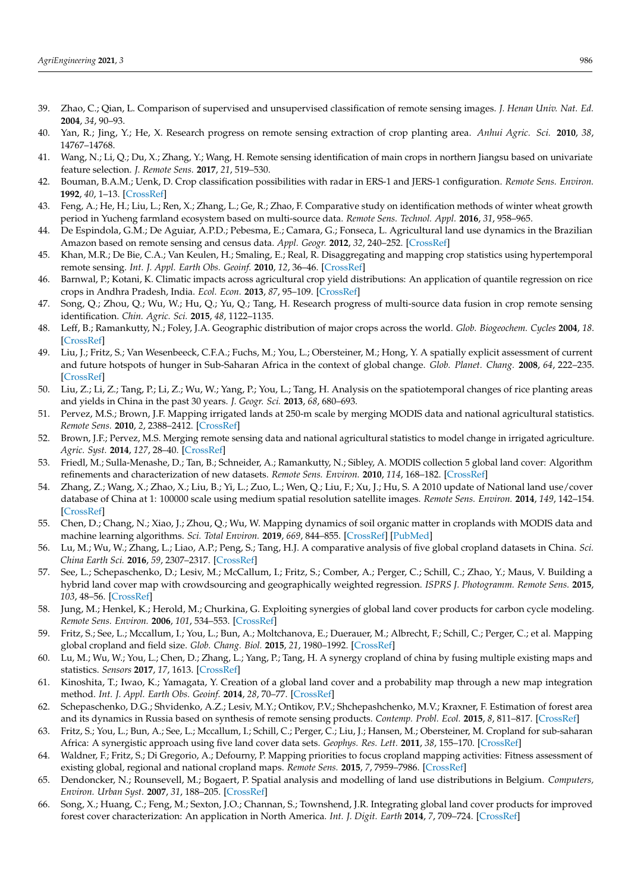- <span id="page-15-0"></span>39. Zhao, C.; Qian, L. Comparison of supervised and unsupervised classification of remote sensing images. *J. Henan Univ. Nat. Ed.* **2004**, *34*, 90–93.
- <span id="page-15-1"></span>40. Yan, R.; Jing, Y.; He, X. Research progress on remote sensing extraction of crop planting area. *Anhui Agric. Sci.* **2010**, *38*, 14767–14768.
- <span id="page-15-2"></span>41. Wang, N.; Li, Q.; Du, X.; Zhang, Y.; Wang, H. Remote sensing identification of main crops in northern Jiangsu based on univariate feature selection. *J. Remote Sens.* **2017**, *21*, 519–530.
- <span id="page-15-3"></span>42. Bouman, B.A.M.; Uenk, D. Crop classification possibilities with radar in ERS-1 and JERS-1 configuration. *Remote Sens. Environ.* **1992**, *40*, 1–13. [\[CrossRef\]](http://doi.org/10.1016/0034-4257(92)90122-Z)
- <span id="page-15-4"></span>43. Feng, A.; He, H.; Liu, L.; Ren, X.; Zhang, L.; Ge, R.; Zhao, F. Comparative study on identification methods of winter wheat growth period in Yucheng farmland ecosystem based on multi-source data. *Remote Sens. Technol. Appl.* **2016**, *31*, 958–965.
- <span id="page-15-5"></span>44. De Espindola, G.M.; De Aguiar, A.P.D.; Pebesma, E.; Camara, G.; Fonseca, L. Agricultural land use dynamics in the Brazilian Amazon based on remote sensing and census data. *Appl. Geogr.* **2012**, *32*, 240–252. [\[CrossRef\]](http://doi.org/10.1016/j.apgeog.2011.04.003)
- <span id="page-15-6"></span>45. Khan, M.R.; De Bie, C.A.; Van Keulen, H.; Smaling, E.; Real, R. Disaggregating and mapping crop statistics using hypertemporal remote sensing. *Int. J. Appl. Earth Obs. Geoinf.* **2010**, *12*, 36–46. [\[CrossRef\]](http://doi.org/10.1016/j.jag.2009.09.010)
- <span id="page-15-7"></span>46. Barnwal, P.; Kotani, K. Climatic impacts across agricultural crop yield distributions: An application of quantile regression on rice crops in Andhra Pradesh, India. *Ecol. Econ.* **2013**, *87*, 95–109. [\[CrossRef\]](http://doi.org/10.1016/j.ecolecon.2012.11.024)
- <span id="page-15-8"></span>47. Song, Q.; Zhou, Q.; Wu, W.; Hu, Q.; Yu, Q.; Tang, H. Research progress of multi-source data fusion in crop remote sensing identification. *Chin. Agric. Sci.* **2015**, *48*, 1122–1135.
- <span id="page-15-9"></span>48. Leff, B.; Ramankutty, N.; Foley, J.A. Geographic distribution of major crops across the world. *Glob. Biogeochem. Cycles* **2004**, *18*. [\[CrossRef\]](http://doi.org/10.1029/2003GB002108)
- <span id="page-15-10"></span>49. Liu, J.; Fritz, S.; Van Wesenbeeck, C.F.A.; Fuchs, M.; You, L.; Obersteiner, M.; Hong, Y. A spatially explicit assessment of current and future hotspots of hunger in Sub-Saharan Africa in the context of global change. *Glob. Planet. Chang.* **2008**, *64*, 222–235. [\[CrossRef\]](http://doi.org/10.1016/j.gloplacha.2008.09.007)
- <span id="page-15-11"></span>50. Liu, Z.; Li, Z.; Tang, P.; Li, Z.; Wu, W.; Yang, P.; You, L.; Tang, H. Analysis on the spatiotemporal changes of rice planting areas and yields in China in the past 30 years. *J. Geogr. Sci.* **2013**, *68*, 680–693.
- <span id="page-15-12"></span>51. Pervez, M.S.; Brown, J.F. Mapping irrigated lands at 250-m scale by merging MODIS data and national agricultural statistics. *Remote Sens.* **2010**, *2*, 2388–2412. [\[CrossRef\]](http://doi.org/10.3390/rs2102388)
- <span id="page-15-13"></span>52. Brown, J.F.; Pervez, M.S. Merging remote sensing data and national agricultural statistics to model change in irrigated agriculture. *Agric. Syst.* **2014**, *127*, 28–40. [\[CrossRef\]](http://doi.org/10.1016/j.agsy.2014.01.004)
- <span id="page-15-14"></span>53. Friedl, M.; Sulla-Menashe, D.; Tan, B.; Schneider, A.; Ramankutty, N.; Sibley, A. MODIS collection 5 global land cover: Algorithm refinements and characterization of new datasets. *Remote Sens. Environ.* **2010**, *114*, 168–182. [\[CrossRef\]](http://doi.org/10.1016/j.rse.2009.08.016)
- <span id="page-15-15"></span>54. Zhang, Z.; Wang, X.; Zhao, X.; Liu, B.; Yi, L.; Zuo, L.; Wen, Q.; Liu, F.; Xu, J.; Hu, S. A 2010 update of National land use/cover database of China at 1: 100000 scale using medium spatial resolution satellite images. *Remote Sens. Environ.* **2014**, *149*, 142–154. [\[CrossRef\]](http://doi.org/10.1016/j.rse.2014.04.004)
- <span id="page-15-16"></span>55. Chen, D.; Chang, N.; Xiao, J.; Zhou, Q.; Wu, W. Mapping dynamics of soil organic matter in croplands with MODIS data and machine learning algorithms. *Sci. Total Environ.* **2019**, *669*, 844–855. [\[CrossRef\]](http://doi.org/10.1016/j.scitotenv.2019.03.151) [\[PubMed\]](http://www.ncbi.nlm.nih.gov/pubmed/30897441)
- <span id="page-15-17"></span>56. Lu, M.; Wu, W.; Zhang, L.; Liao, A.P.; Peng, S.; Tang, H.J. A comparative analysis of five global cropland datasets in China. *Sci. China Earth Sci.* **2016**, *59*, 2307–2317. [\[CrossRef\]](http://doi.org/10.1007/s11430-016-5327-3)
- <span id="page-15-18"></span>57. See, L.; Schepaschenko, D.; Lesiv, M.; McCallum, I.; Fritz, S.; Comber, A.; Perger, C.; Schill, C.; Zhao, Y.; Maus, V. Building a hybrid land cover map with crowdsourcing and geographically weighted regression. *ISPRS J. Photogramm. Remote Sens.* **2015**, *103*, 48–56. [\[CrossRef\]](http://doi.org/10.1016/j.isprsjprs.2014.06.016)
- <span id="page-15-19"></span>58. Jung, M.; Henkel, K.; Herold, M.; Churkina, G. Exploiting synergies of global land cover products for carbon cycle modeling. *Remote Sens. Environ.* **2006**, *101*, 534–553. [\[CrossRef\]](http://doi.org/10.1016/j.rse.2006.01.020)
- <span id="page-15-20"></span>59. Fritz, S.; See, L.; Mccallum, I.; You, L.; Bun, A.; Moltchanova, E.; Duerauer, M.; Albrecht, F.; Schill, C.; Perger, C.; et al. Mapping global cropland and field size. *Glob. Chang. Biol.* **2015**, *21*, 1980–1992. [\[CrossRef\]](http://doi.org/10.1111/gcb.12838)
- <span id="page-15-21"></span>60. Lu, M.; Wu, W.; You, L.; Chen, D.; Zhang, L.; Yang, P.; Tang, H. A synergy cropland of china by fusing multiple existing maps and statistics. *Sensors* **2017**, *17*, 1613. [\[CrossRef\]](http://doi.org/10.3390/s17071613)
- <span id="page-15-22"></span>61. Kinoshita, T.; Iwao, K.; Yamagata, Y. Creation of a global land cover and a probability map through a new map integration method. *Int. J. Appl. Earth Obs. Geoinf.* **2014**, *28*, 70–77. [\[CrossRef\]](http://doi.org/10.1016/j.jag.2013.10.006)
- <span id="page-15-23"></span>62. Schepaschenko, D.G.; Shvidenko, A.Z.; Lesiv, M.Y.; Ontikov, P.V.; Shchepashchenko, M.V.; Kraxner, F. Estimation of forest area and its dynamics in Russia based on synthesis of remote sensing products. *Contemp. Probl. Ecol.* **2015**, *8*, 811–817. [\[CrossRef\]](http://doi.org/10.1134/S1995425515070136)
- <span id="page-15-24"></span>63. Fritz, S.; You, L.; Bun, A.; See, L.; Mccallum, I.; Schill, C.; Perger, C.; Liu, J.; Hansen, M.; Obersteiner, M. Cropland for sub-saharan Africa: A synergistic approach using five land cover data sets. *Geophys. Res. Lett.* **2011**, *38*, 155–170. [\[CrossRef\]](http://doi.org/10.1029/2010GL046213)
- <span id="page-15-25"></span>64. Waldner, F.; Fritz, S.; Di Gregorio, A.; Defourny, P. Mapping priorities to focus cropland mapping activities: Fitness assessment of existing global, regional and national cropland maps. *Remote Sens.* **2015**, *7*, 7959–7986. [\[CrossRef\]](http://doi.org/10.3390/rs70607959)
- <span id="page-15-26"></span>65. Dendoncker, N.; Rounsevell, M.; Bogaert, P. Spatial analysis and modelling of land use distributions in Belgium. *Computers, Environ. Urban Syst.* **2007**, *31*, 188–205. [\[CrossRef\]](http://doi.org/10.1016/j.compenvurbsys.2006.06.004)
- <span id="page-15-27"></span>66. Song, X.; Huang, C.; Feng, M.; Sexton, J.O.; Channan, S.; Townshend, J.R. Integrating global land cover products for improved forest cover characterization: An application in North America. *Int. J. Digit. Earth* **2014**, *7*, 709–724. [\[CrossRef\]](http://doi.org/10.1080/17538947.2013.856959)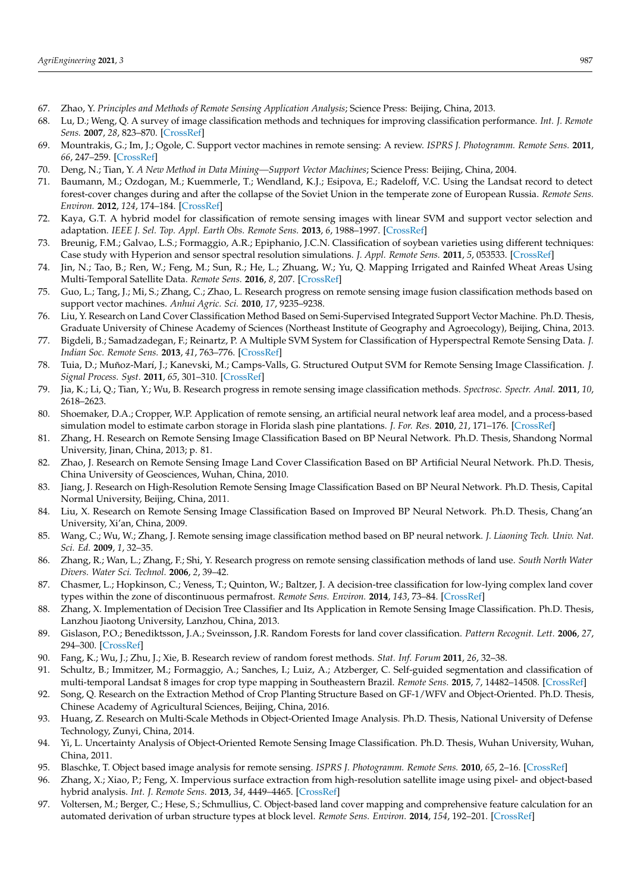- <span id="page-16-0"></span>67. Zhao, Y. *Principles and Methods of Remote Sensing Application Analysis*; Science Press: Beijing, China, 2013.
- <span id="page-16-1"></span>68. Lu, D.; Weng, Q. A survey of image classification methods and techniques for improving classification performance. *Int. J. Remote Sens.* **2007**, *28*, 823–870. [\[CrossRef\]](http://doi.org/10.1080/01431160600746456)
- <span id="page-16-2"></span>69. Mountrakis, G.; Im, J.; Ogole, C. Support vector machines in remote sensing: A review. *ISPRS J. Photogramm. Remote Sens.* **2011**, *66*, 247–259. [\[CrossRef\]](http://doi.org/10.1016/j.isprsjprs.2010.11.001)
- <span id="page-16-3"></span>70. Deng, N.; Tian, Y. *A New Method in Data Mining—Support Vector Machines*; Science Press: Beijing, China, 2004.
- <span id="page-16-4"></span>71. Baumann, M.; Ozdogan, M.; Kuemmerle, T.; Wendland, K.J.; Esipova, E.; Radeloff, V.C. Using the Landsat record to detect forest-cover changes during and after the collapse of the Soviet Union in the temperate zone of European Russia. *Remote Sens. Environ.* **2012**, *124*, 174–184. [\[CrossRef\]](http://doi.org/10.1016/j.rse.2012.05.001)
- <span id="page-16-5"></span>72. Kaya, G.T. A hybrid model for classification of remote sensing images with linear SVM and support vector selection and adaptation. *IEEE J. Sel. Top. Appl. Earth Obs. Remote Sens.* **2013**, *6*, 1988–1997. [\[CrossRef\]](http://doi.org/10.1109/JSTARS.2012.2233463)
- <span id="page-16-6"></span>73. Breunig, F.M.; Galvao, L.S.; Formaggio, A.R.; Epiphanio, J.C.N. Classification of soybean varieties using different techniques: Case study with Hyperion and sensor spectral resolution simulations. *J. Appl. Remote Sens.* **2011**, *5*, 053533. [\[CrossRef\]](http://doi.org/10.1117/1.3604787)
- <span id="page-16-7"></span>74. Jin, N.; Tao, B.; Ren, W.; Feng, M.; Sun, R.; He, L.; Zhuang, W.; Yu, Q. Mapping Irrigated and Rainfed Wheat Areas Using Multi-Temporal Satellite Data. *Remote Sens.* **2016**, *8*, 207. [\[CrossRef\]](http://doi.org/10.3390/rs8030207)
- <span id="page-16-8"></span>75. Guo, L.; Tang, J.; Mi, S.; Zhang, C.; Zhao, L. Research progress on remote sensing image fusion classification methods based on support vector machines. *Anhui Agric. Sci.* **2010**, *17*, 9235–9238.
- <span id="page-16-10"></span>76. Liu, Y. Research on Land Cover Classification Method Based on Semi-Supervised Integrated Support Vector Machine. Ph.D. Thesis, Graduate University of Chinese Academy of Sciences (Northeast Institute of Geography and Agroecology), Beijing, China, 2013.
- 77. Bigdeli, B.; Samadzadegan, F.; Reinartz, P. A Multiple SVM System for Classification of Hyperspectral Remote Sensing Data. *J. Indian Soc. Remote Sens.* **2013**, *41*, 763–776. [\[CrossRef\]](http://doi.org/10.1007/s12524-013-0286-z)
- <span id="page-16-9"></span>78. Tuia, D.; Muñoz-Marí, J.; Kanevski, M.; Camps-Valls, G. Structured Output SVM for Remote Sensing Image Classification. *J. Signal Process. Syst.* **2011**, *65*, 301–310. [\[CrossRef\]](http://doi.org/10.1007/s11265-010-0483-8)
- <span id="page-16-11"></span>79. Jia, K.; Li, Q.; Tian, Y.; Wu, B. Research progress in remote sensing image classification methods. *Spectrosc. Spectr. Anal.* **2011**, *10*, 2618–2623.
- <span id="page-16-12"></span>80. Shoemaker, D.A.; Cropper, W.P. Application of remote sensing, an artificial neural network leaf area model, and a process-based simulation model to estimate carbon storage in Florida slash pine plantations. *J. For. Res.* **2010**, *21*, 171–176. [\[CrossRef\]](http://doi.org/10.1007/s11676-010-0027-x)
- 81. Zhang, H. Research on Remote Sensing Image Classification Based on BP Neural Network. Ph.D. Thesis, Shandong Normal University, Jinan, China, 2013; p. 81.
- <span id="page-16-13"></span>82. Zhao, J. Research on Remote Sensing Image Land Cover Classification Based on BP Artificial Neural Network. Ph.D. Thesis, China University of Geosciences, Wuhan, China, 2010.
- 83. Jiang, J. Research on High-Resolution Remote Sensing Image Classification Based on BP Neural Network. Ph.D. Thesis, Capital Normal University, Beijing, China, 2011.
- 84. Liu, X. Research on Remote Sensing Image Classification Based on Improved BP Neural Network. Ph.D. Thesis, Chang'an University, Xi'an, China, 2009.
- <span id="page-16-14"></span>85. Wang, C.; Wu, W.; Zhang, J. Remote sensing image classification method based on BP neural network. *J. Liaoning Tech. Univ. Nat. Sci. Ed.* **2009**, *1*, 32–35.
- <span id="page-16-15"></span>86. Zhang, R.; Wan, L.; Zhang, F.; Shi, Y. Research progress on remote sensing classification methods of land use. *South North Water Divers. Water Sci. Technol.* **2006**, *2*, 39–42.
- <span id="page-16-16"></span>87. Chasmer, L.; Hopkinson, C.; Veness, T.; Quinton, W.; Baltzer, J. A decision-tree classification for low-lying complex land cover types within the zone of discontinuous permafrost. *Remote Sens. Environ.* **2014**, *143*, 73–84. [\[CrossRef\]](http://doi.org/10.1016/j.rse.2013.12.016)
- <span id="page-16-17"></span>88. Zhang, X. Implementation of Decision Tree Classifier and Its Application in Remote Sensing Image Classification. Ph.D. Thesis, Lanzhou Jiaotong University, Lanzhou, China, 2013.
- <span id="page-16-18"></span>89. Gislason, P.O.; Benediktsson, J.A.; Sveinsson, J.R. Random Forests for land cover classification. *Pattern Recognit. Lett.* **2006**, *27*, 294–300. [\[CrossRef\]](http://doi.org/10.1016/j.patrec.2005.08.011)
- <span id="page-16-19"></span>90. Fang, K.; Wu, J.; Zhu, J.; Xie, B. Research review of random forest methods. *Stat. Inf. Forum* **2011**, *26*, 32–38.
- <span id="page-16-20"></span>91. Schultz, B.; Immitzer, M.; Formaggio, A.; Sanches, I.; Luiz, A.; Atzberger, C. Self-guided segmentation and classification of multi-temporal Landsat 8 images for crop type mapping in Southeastern Brazil. *Remote Sens.* **2015**, *7*, 14482–14508. [\[CrossRef\]](http://doi.org/10.3390/rs71114482)
- <span id="page-16-21"></span>92. Song, Q. Research on the Extraction Method of Crop Planting Structure Based on GF-1/WFV and Object-Oriented. Ph.D. Thesis, Chinese Academy of Agricultural Sciences, Beijing, China, 2016.
- <span id="page-16-22"></span>93. Huang, Z. Research on Multi-Scale Methods in Object-Oriented Image Analysis. Ph.D. Thesis, National University of Defense Technology, Zunyi, China, 2014.
- <span id="page-16-26"></span>94. Yi, L. Uncertainty Analysis of Object-Oriented Remote Sensing Image Classification. Ph.D. Thesis, Wuhan University, Wuhan, China, 2011.
- <span id="page-16-23"></span>95. Blaschke, T. Object based image analysis for remote sensing. *ISPRS J. Photogramm. Remote Sens.* **2010**, *65*, 2–16. [\[CrossRef\]](http://doi.org/10.1016/j.isprsjprs.2009.06.004)
- <span id="page-16-24"></span>96. Zhang, X.; Xiao, P.; Feng, X. Impervious surface extraction from high-resolution satellite image using pixel- and object-based hybrid analysis. *Int. J. Remote Sens.* **2013**, *34*, 4449–4465. [\[CrossRef\]](http://doi.org/10.1080/01431161.2013.779044)
- <span id="page-16-25"></span>97. Voltersen, M.; Berger, C.; Hese, S.; Schmullius, C. Object-based land cover mapping and comprehensive feature calculation for an automated derivation of urban structure types at block level. *Remote Sens. Environ.* **2014**, *154*, 192–201. [\[CrossRef\]](http://doi.org/10.1016/j.rse.2014.08.024)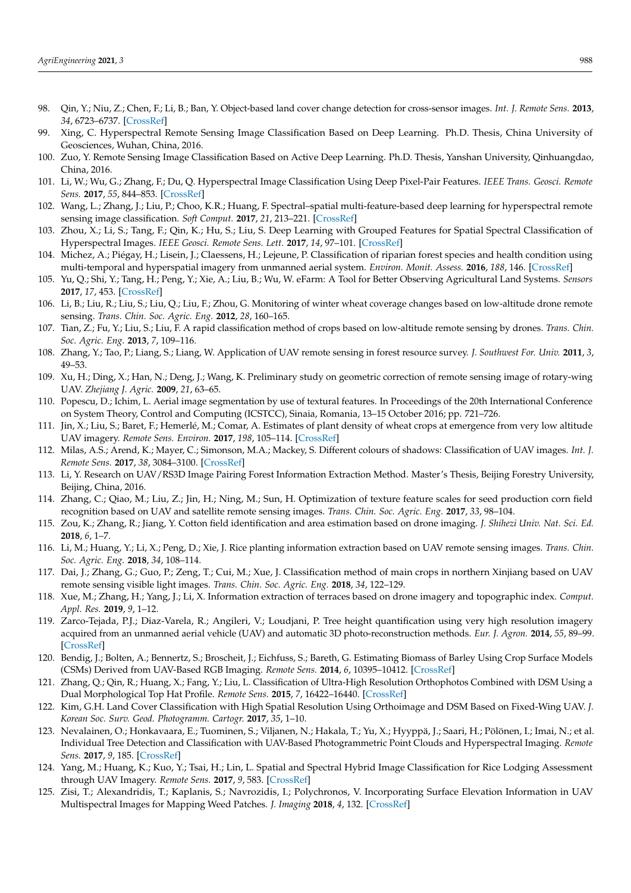- <span id="page-17-0"></span>98. Qin, Y.; Niu, Z.; Chen, F.; Li, B.; Ban, Y. Object-based land cover change detection for cross-sensor images. *Int. J. Remote Sens.* **2013**, *34*, 6723–6737. [\[CrossRef\]](http://doi.org/10.1080/01431161.2013.805282)
- <span id="page-17-1"></span>99. Xing, C. Hyperspectral Remote Sensing Image Classification Based on Deep Learning. Ph.D. Thesis, China University of Geosciences, Wuhan, China, 2016.
- <span id="page-17-2"></span>100. Zuo, Y. Remote Sensing Image Classification Based on Active Deep Learning. Ph.D. Thesis, Yanshan University, Qinhuangdao, China, 2016.
- <span id="page-17-3"></span>101. Li, W.; Wu, G.; Zhang, F.; Du, Q. Hyperspectral Image Classification Using Deep Pixel-Pair Features. *IEEE Trans. Geosci. Remote Sens.* **2017**, *55*, 844–853. [\[CrossRef\]](http://doi.org/10.1109/TGRS.2016.2616355)
- <span id="page-17-5"></span>102. Wang, L.; Zhang, J.; Liu, P.; Choo, K.R.; Huang, F. Spectral–spatial multi-feature-based deep learning for hyperspectral remote sensing image classification. *Soft Comput.* **2017**, *21*, 213–221. [\[CrossRef\]](http://doi.org/10.1007/s00500-016-2246-3)
- <span id="page-17-4"></span>103. Zhou, X.; Li, S.; Tang, F.; Qin, K.; Hu, S.; Liu, S. Deep Learning with Grouped Features for Spatial Spectral Classification of Hyperspectral Images. *IEEE Geosci. Remote Sens. Lett.* **2017**, *14*, 97–101. [\[CrossRef\]](http://doi.org/10.1109/LGRS.2016.2630045)
- <span id="page-17-6"></span>104. Michez, A.; Piégay, H.; Lisein, J.; Claessens, H.; Lejeune, P. Classification of riparian forest species and health condition using multi-temporal and hyperspatial imagery from unmanned aerial system. *Environ. Monit. Assess.* **2016**, *188*, 146. [\[CrossRef\]](http://doi.org/10.1007/s10661-015-4996-2)
- <span id="page-17-7"></span>105. Yu, Q.; Shi, Y.; Tang, H.; Peng, Y.; Xie, A.; Liu, B.; Wu, W. eFarm: A Tool for Better Observing Agricultural Land Systems. *Sensors* **2017**, *17*, 453. [\[CrossRef\]](http://doi.org/10.3390/s17030453)
- <span id="page-17-8"></span>106. Li, B.; Liu, R.; Liu, S.; Liu, Q.; Liu, F.; Zhou, G. Monitoring of winter wheat coverage changes based on low-altitude drone remote sensing. *Trans. Chin. Soc. Agric. Eng.* **2012**, *28*, 160–165.
- <span id="page-17-9"></span>107. Tian, Z.; Fu, Y.; Liu, S.; Liu, F. A rapid classification method of crops based on low-altitude remote sensing by drones. *Trans. Chin. Soc. Agric. Eng.* **2013**, *7*, 109–116.
- <span id="page-17-10"></span>108. Zhang, Y.; Tao, P.; Liang, S.; Liang, W. Application of UAV remote sensing in forest resource survey. *J. Southwest For. Univ.* **2011**, *3*, 49–53.
- <span id="page-17-11"></span>109. Xu, H.; Ding, X.; Han, N.; Deng, J.; Wang, K. Preliminary study on geometric correction of remote sensing image of rotary-wing UAV. *Zhejiang J. Agric.* **2009**, *21*, 63–65.
- <span id="page-17-12"></span>110. Popescu, D.; Ichim, L. Aerial image segmentation by use of textural features. In Proceedings of the 20th International Conference on System Theory, Control and Computing (ICSTCC), Sinaia, Romania, 13–15 October 2016; pp. 721–726.
- <span id="page-17-13"></span>111. Jin, X.; Liu, S.; Baret, F.; Hemerlé, M.; Comar, A. Estimates of plant density of wheat crops at emergence from very low altitude UAV imagery. *Remote Sens. Environ.* **2017**, *198*, 105–114. [\[CrossRef\]](http://doi.org/10.1016/j.rse.2017.06.007)
- <span id="page-17-14"></span>112. Milas, A.S.; Arend, K.; Mayer, C.; Simonson, M.A.; Mackey, S. Different colours of shadows: Classification of UAV images. *Int. J. Remote Sens.* **2017**, *38*, 3084–3100. [\[CrossRef\]](http://doi.org/10.1080/01431161.2016.1274449)
- <span id="page-17-15"></span>113. Li, Y. Research on UAV/RS3D Image Pairing Forest Information Extraction Method. Master's Thesis, Beijing Forestry University, Beijing, China, 2016.
- <span id="page-17-16"></span>114. Zhang, C.; Qiao, M.; Liu, Z.; Jin, H.; Ning, M.; Sun, H. Optimization of texture feature scales for seed production corn field recognition based on UAV and satellite remote sensing images. *Trans. Chin. Soc. Agric. Eng.* **2017**, *33*, 98–104.
- <span id="page-17-17"></span>115. Zou, K.; Zhang, R.; Jiang, Y. Cotton field identification and area estimation based on drone imaging. *J. Shihezi Univ. Nat. Sci. Ed.* **2018**, *6*, 1–7.
- <span id="page-17-18"></span>116. Li, M.; Huang, Y.; Li, X.; Peng, D.; Xie, J. Rice planting information extraction based on UAV remote sensing images. *Trans. Chin. Soc. Agric. Eng.* **2018**, *34*, 108–114.
- <span id="page-17-19"></span>117. Dai, J.; Zhang, G.; Guo, P.; Zeng, T.; Cui, M.; Xue, J. Classification method of main crops in northern Xinjiang based on UAV remote sensing visible light images. *Trans. Chin. Soc. Agric. Eng.* **2018**, *34*, 122–129.
- <span id="page-17-20"></span>118. Xue, M.; Zhang, H.; Yang, J.; Li, X. Information extraction of terraces based on drone imagery and topographic index. *Comput. Appl. Res.* **2019**, *9*, 1–12.
- <span id="page-17-21"></span>119. Zarco-Tejada, P.J.; Diaz-Varela, R.; Angileri, V.; Loudjani, P. Tree height quantification using very high resolution imagery acquired from an unmanned aerial vehicle (UAV) and automatic 3D photo-reconstruction methods. *Eur. J. Agron.* **2014**, *55*, 89–99. [\[CrossRef\]](http://doi.org/10.1016/j.eja.2014.01.004)
- <span id="page-17-22"></span>120. Bendig, J.; Bolten, A.; Bennertz, S.; Broscheit, J.; Eichfuss, S.; Bareth, G. Estimating Biomass of Barley Using Crop Surface Models (CSMs) Derived from UAV-Based RGB Imaging. *Remote Sens.* **2014**, *6*, 10395–10412. [\[CrossRef\]](http://doi.org/10.3390/rs61110395)
- <span id="page-17-23"></span>121. Zhang, Q.; Qin, R.; Huang, X.; Fang, Y.; Liu, L. Classification of Ultra-High Resolution Orthophotos Combined with DSM Using a Dual Morphological Top Hat Profile. *Remote Sens.* **2015**, *7*, 16422–16440. [\[CrossRef\]](http://doi.org/10.3390/rs71215840)
- <span id="page-17-24"></span>122. Kim, G.H. Land Cover Classification with High Spatial Resolution Using Orthoimage and DSM Based on Fixed-Wing UAV. *J. Korean Soc. Surv. Geod. Photogramm. Cartogr.* **2017**, *35*, 1–10.
- <span id="page-17-25"></span>123. Nevalainen, O.; Honkavaara, E.; Tuominen, S.; Viljanen, N.; Hakala, T.; Yu, X.; Hyyppä, J.; Saari, H.; Pölönen, I.; Imai, N.; et al. Individual Tree Detection and Classification with UAV-Based Photogrammetric Point Clouds and Hyperspectral Imaging. *Remote Sens.* **2017**, *9*, 185. [\[CrossRef\]](http://doi.org/10.3390/rs9030185)
- <span id="page-17-26"></span>124. Yang, M.; Huang, K.; Kuo, Y.; Tsai, H.; Lin, L. Spatial and Spectral Hybrid Image Classification for Rice Lodging Assessment through UAV Imagery. *Remote Sens.* **2017**, *9*, 583. [\[CrossRef\]](http://doi.org/10.3390/rs9060583)
- <span id="page-17-27"></span>125. Zisi, T.; Alexandridis, T.; Kaplanis, S.; Navrozidis, I.; Polychronos, V. Incorporating Surface Elevation Information in UAV Multispectral Images for Mapping Weed Patches. *J. Imaging* **2018**, *4*, 132. [\[CrossRef\]](http://doi.org/10.3390/jimaging4110132)